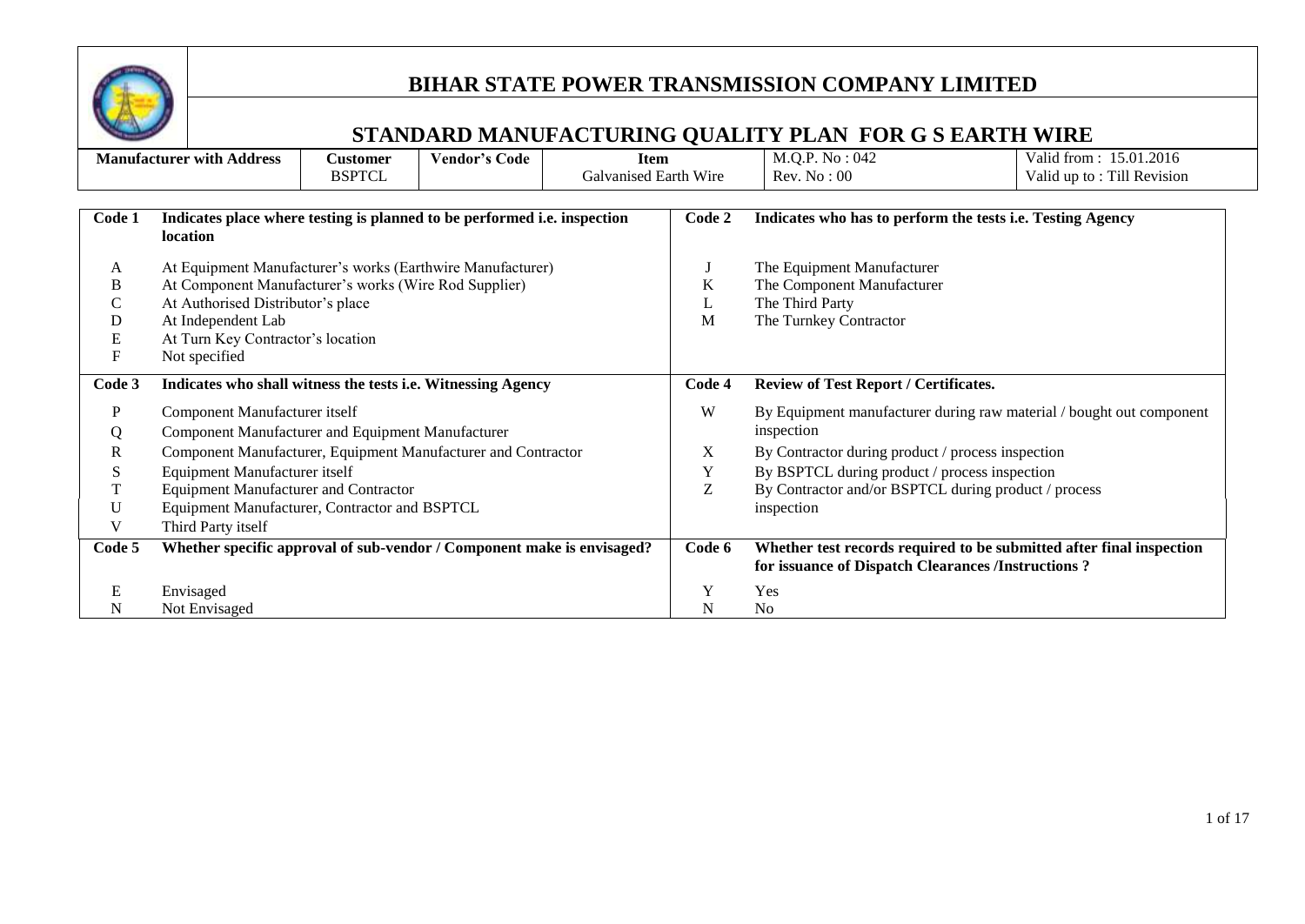

|                           | <b>Manufacturer with Address</b>                                         | <b>Customer</b> | <b>Vendor's Code</b> | <b>Item</b>           |        | M.Q.P. No: 042                                             | Valid from: 15.01.2016                                               |
|---------------------------|--------------------------------------------------------------------------|-----------------|----------------------|-----------------------|--------|------------------------------------------------------------|----------------------------------------------------------------------|
|                           |                                                                          | <b>BSPTCL</b>   |                      | Galvanised Earth Wire |        | Rev. No: 00                                                | Valid up to: Till Revision                                           |
|                           |                                                                          |                 |                      |                       |        |                                                            |                                                                      |
| Code 1                    | Indicates place where testing is planned to be performed i.e. inspection |                 |                      |                       | Code 2 | Indicates who has to perform the tests i.e. Testing Agency |                                                                      |
|                           | location                                                                 |                 |                      |                       |        |                                                            |                                                                      |
|                           |                                                                          |                 |                      |                       |        |                                                            |                                                                      |
| A                         | At Equipment Manufacturer's works (Earthwire Manufacturer)               |                 |                      |                       |        | The Equipment Manufacturer                                 |                                                                      |
| В                         | At Component Manufacturer's works (Wire Rod Supplier)                    |                 |                      |                       | K      | The Component Manufacturer                                 |                                                                      |
| С                         | At Authorised Distributor's place                                        |                 |                      |                       | L      | The Third Party                                            |                                                                      |
| D                         | At Independent Lab                                                       |                 |                      |                       | M      | The Turnkey Contractor                                     |                                                                      |
| E                         | At Turn Key Contractor's location                                        |                 |                      |                       |        |                                                            |                                                                      |
| $\boldsymbol{\mathrm{F}}$ | Not specified                                                            |                 |                      |                       |        |                                                            |                                                                      |
| Code 3                    | Indicates who shall witness the tests i.e. Witnessing Agency             |                 |                      |                       | Code 4 | <b>Review of Test Report / Certificates.</b>               |                                                                      |
| P                         | Component Manufacturer itself                                            |                 |                      |                       | W      |                                                            | By Equipment manufacturer during raw material / bought out component |
| Q                         | <b>Component Manufacturer and Equipment Manufacturer</b>                 |                 |                      |                       |        | inspection                                                 |                                                                      |
| R                         | Component Manufacturer, Equipment Manufacturer and Contractor            |                 |                      |                       | X      | By Contractor during product / process inspection          |                                                                      |
| S                         | <b>Equipment Manufacturer itself</b>                                     |                 |                      |                       | Y      | By BSPTCL during product / process inspection              |                                                                      |
| T                         | <b>Equipment Manufacturer and Contractor</b>                             |                 |                      |                       | Z      | By Contractor and/or BSPTCL during product / process       |                                                                      |
| U                         | Equipment Manufacturer, Contractor and BSPTCL                            |                 |                      |                       |        | inspection                                                 |                                                                      |
| V                         | Third Party itself                                                       |                 |                      |                       |        |                                                            |                                                                      |
| Code 5                    | Whether specific approval of sub-vendor / Component make is envisaged?   |                 |                      |                       | Code 6 |                                                            | Whether test records required to be submitted after final inspection |
|                           |                                                                          |                 |                      |                       |        | for issuance of Dispatch Clearances /Instructions ?        |                                                                      |
| Е                         | Envisaged                                                                |                 |                      |                       | Y      | Yes                                                        |                                                                      |
| N                         | Not Envisaged                                                            |                 |                      |                       | N      | No                                                         |                                                                      |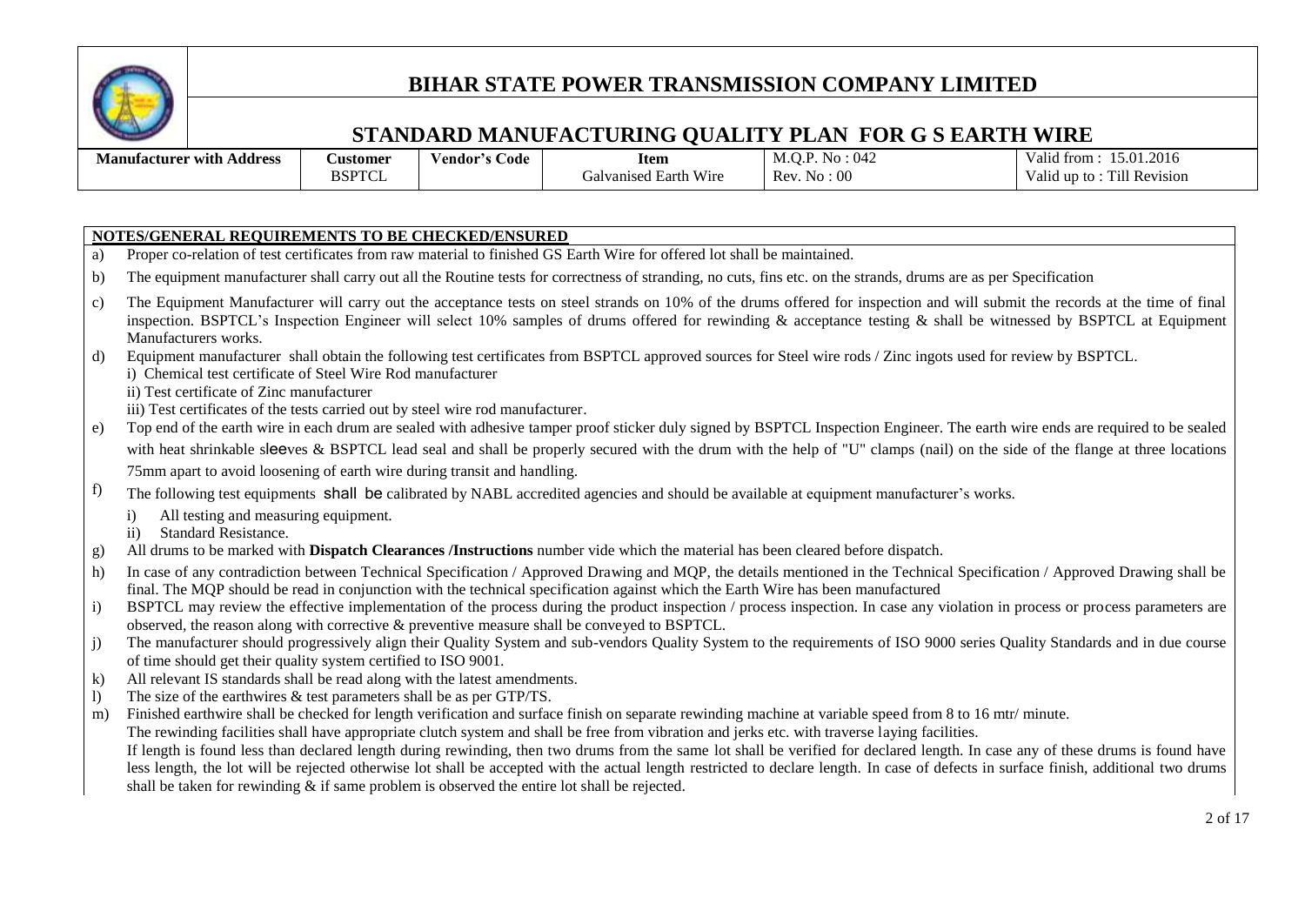

#### **STANDARD MANUFACTURING QUALITY PLAN FOR G S EARTH WIRE**

| . .<br>- -<br>Address<br>Manufacturer with | <b>Austomer</b>    | v endor′<br>∠ode | <b>Item</b>                                        | 042<br>.<br><b>NO</b><br>171.V | .2016<br>$\sim$<br>. tror<br>D.U.<br>анс |
|--------------------------------------------|--------------------|------------------|----------------------------------------------------|--------------------------------|------------------------------------------|
|                                            | <b>BSPTC</b><br>ாப |                  | T T T<br>W 1 re<br>Earth<br>vanised<br>$-1$<br>ιаι | :00<br>Rev<br>. INO            | $-1.1$<br>* Revision<br>ΊH<br>Ю<br>апс   |

#### **NOTES/GENERAL REQUIREMENTS TO BE CHECKED/ENSURED**

- a) Proper co-relation of test certificates from raw material to finished GS Earth Wire for offered lot shall be maintained.
- b) The equipment manufacturer shall carry out all the Routine tests for correctness of stranding, no cuts, fins etc. on the strands, drums are as per Specification
- c) The Equipment Manufacturer will carry out the acceptance tests on steel strands on 10% of the drums offered for inspection and will submit the records at the time of final inspection. BSPTCL's Inspection Engineer will select 10% samples of drums offered for rewinding & acceptance testing & shall be witnessed by BSPTCL at Equipment Manufacturers works.
- d) Equipment manufacturer shall obtain the following test certificates from BSPTCL approved sources for Steel wire rods / Zinc ingots used for review by BSPTCL. i) Chemical test certificate of Steel Wire Rod manufacturer
	- ii) Test certificate of Zinc manufacturer
	- iii) Test certificates of the tests carried out by steel wire rod manufacturer.
- e) Top end of the earth wire in each drum are sealed with adhesive tamper proof sticker duly signed by BSPTCL Inspection Engineer. The earth wire ends are required to be sealed with heat shrinkable sleeves & BSPTCL lead seal and shall be properly secured with the drum with the help of "U" clamps (nail) on the side of the flange at three locations 75mm apart to avoid loosening of earth wire during transit and handling.
- $\hat{f}$  The following test equipments **shall be** calibrated by NABL accredited agencies and should be available at equipment manufacturer's works.
	- i) All testing and measuring equipment.
	- ii) Standard Resistance.
- g) All drums to be marked with **Dispatch Clearances /Instructions** number vide which the material has been cleared before dispatch.
- h) In case of any contradiction between Technical Specification / Approved Drawing and MQP, the details mentioned in the Technical Specification / Approved Drawing shall be final. The MQP should be read in conjunction with the technical specification against which the Earth Wire has been manufactured
- i) BSPTCL may review the effective implementation of the process during the product inspection / process inspection. In case any violation in process or process parameters are observed, the reason along with corrective & preventive measure shall be conveyed to BSPTCL.
- j) The manufacturer should progressively align their Quality System and sub-vendors Quality System to the requirements of ISO 9000 series Quality Standards and in due course of time should get their quality system certified to ISO 9001.
- k) All relevant IS standards shall be read along with the latest amendments.
- l) The size of the earthwires & test parameters shall be as per GTP/TS.
- m) Finished earthwire shall be checked for length verification and surface finish on separate rewinding machine at variable speed from 8 to 16 mtr/ minute.
- The rewinding facilities shall have appropriate clutch system and shall be free from vibration and jerks etc. with traverse laying facilities.

If length is found less than declared length during rewinding, then two drums from the same lot shall be verified for declared length. In case any of these drums is found have less length, the lot will be rejected otherwise lot shall be accepted with the actual length restricted to declare length. In case of defects in surface finish, additional two drums shall be taken for rewinding & if same problem is observed the entire lot shall be rejected.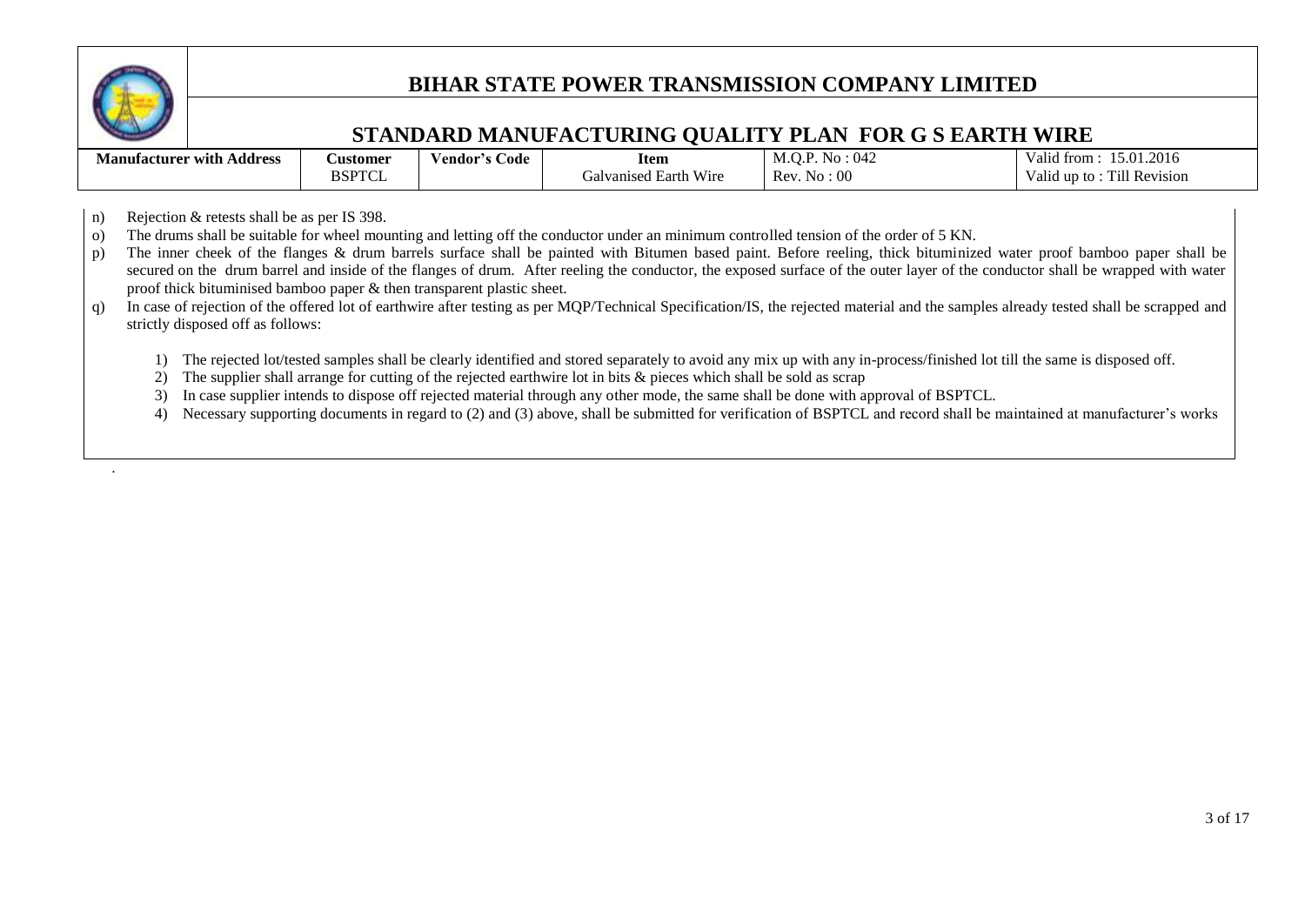

.

### **BIHAR STATE POWER TRANSMISSION COMPANY LIMITED**

### **STANDARD MANUFACTURING QUALITY PLAN FOR G S EARTH WIRE**

| .<br>. .<br>$\cdots$<br>Address<br>Manufacturer with . | <b>Customer</b> | ′endor<br>Code | <b>Item</b>                                  | $\sim$ $\sim$<br>N /I<br>INU<br>. 1742<br>IVI. U.1 | 201<br>$\sim$<br>Valu.<br>* from- |
|--------------------------------------------------------|-----------------|----------------|----------------------------------------------|----------------------------------------------------|-----------------------------------|
|                                                        | BSPTC           |                | T T<br>W <sub>1</sub> re<br>Ivanised Earth ' | Rev<br>0 <sup>c</sup><br>NΩ                        | Till Revision<br>Valic<br>∟un to  |

n) Rejection & retests shall be as per IS 398.

o) The drums shall be suitable for wheel mounting and letting off the conductor under an minimum controlled tension of the order of 5 KN.

- p) The inner cheek of the flanges & drum barrels surface shall be painted with Bitumen based paint. Before reeling, thick bituminized water proof bamboo paper shall be secured on the drum barrel and inside of the flanges of drum. After reeling the conductor, the exposed surface of the outer layer of the conductor shall be wrapped with water proof thick bituminised bamboo paper & then transparent plastic sheet.
- q) In case of rejection of the offered lot of earthwire after testing as per MQP/Technical Specification/IS, the rejected material and the samples already tested shall be scrapped and strictly disposed off as follows:
	- 1) The rejected lot/tested samples shall be clearly identified and stored separately to avoid any mix up with any in-process/finished lot till the same is disposed off.
	- 2) The supplier shall arrange for cutting of the rejected earthwire lot in bits & pieces which shall be sold as scrap
	- 3) In case supplier intends to dispose off rejected material through any other mode, the same shall be done with approval of BSPTCL.
	- 4) Necessary supporting documents in regard to (2) and (3) above, shall be submitted for verification of BSPTCL and record shall be maintained at manufacturer's works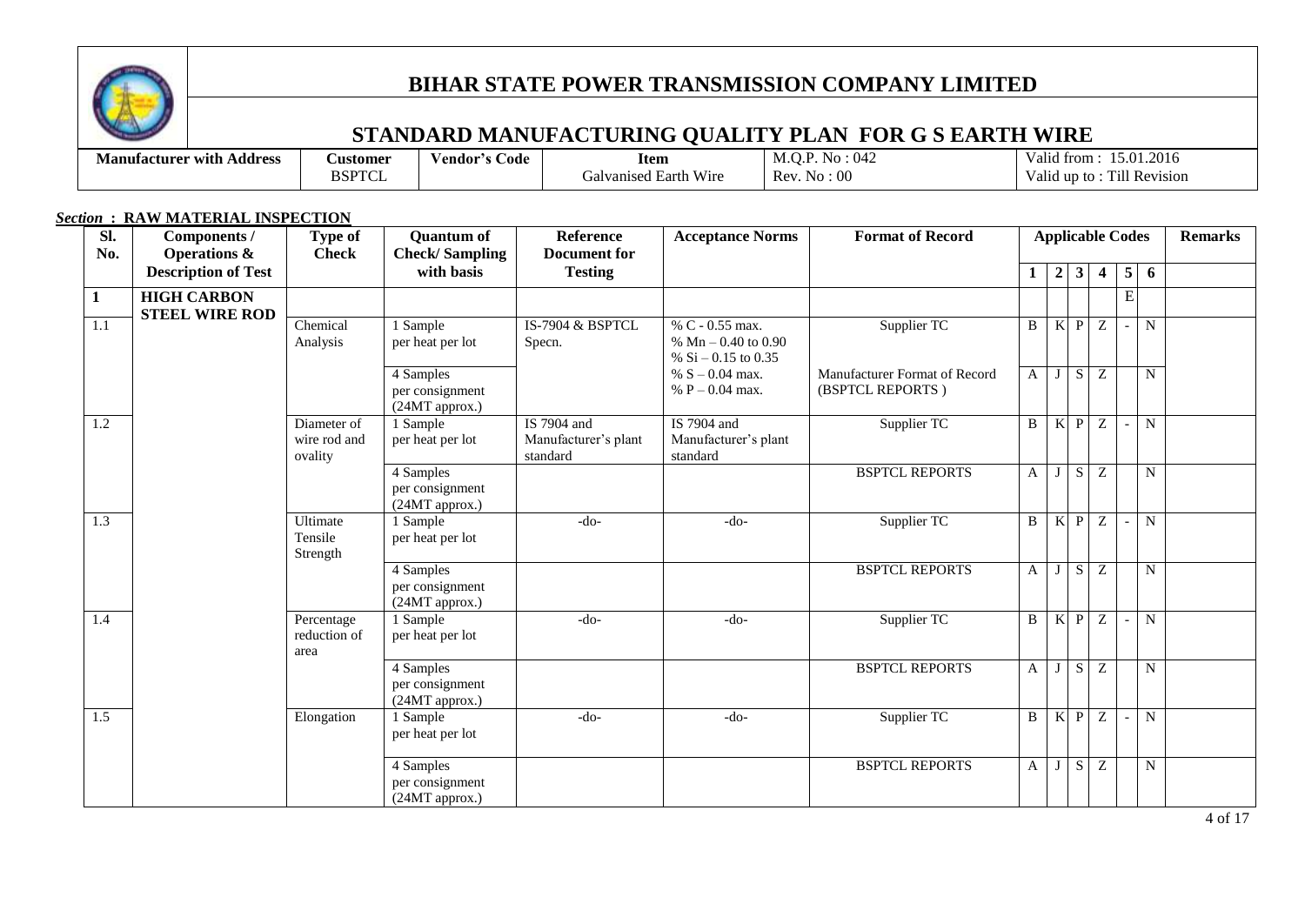

## **STANDARD MANUFACTURING QUALITY PLAN FOR G S EARTH WIRE**

| Address<br><b>Manufacturer</b> with | <b>Customer</b>       | endor/<br>Code | Item                                                     | 042<br>N0                             | .2016<br>$\mathbf{r}$<br>15.01.<br>trom<br>Valia |
|-------------------------------------|-----------------------|----------------|----------------------------------------------------------|---------------------------------------|--------------------------------------------------|
|                                     | BSPTC<br>$\mathbf{1}$ |                | <b>TTT</b><br>W <sub>1</sub> re<br>Earth<br>Jalvanised ' | 00<br><b>R</b> av<br><b>NC</b><br>IV. | <b>Till Revision</b><br>. un<br>V alid<br>-to    |

#### *Section* **: RAW MATERIAL INSPECTION**

| Sl.<br>No.   | Components /<br><b>Operations &amp;</b>     | <b>Type of</b><br><b>Check</b>         | <b>Quantum of</b><br><b>Check/Sampling</b>                              | Reference<br>Document for                       | <b>Acceptance Norms</b>                                           | <b>Format of Record</b>                           |              |                |                | <b>Applicable Codes</b> |   |           | <b>Remarks</b> |
|--------------|---------------------------------------------|----------------------------------------|-------------------------------------------------------------------------|-------------------------------------------------|-------------------------------------------------------------------|---------------------------------------------------|--------------|----------------|----------------|-------------------------|---|-----------|----------------|
|              | <b>Description of Test</b>                  |                                        | with basis                                                              | <b>Testing</b>                                  |                                                                   |                                                   | $\mathbf{1}$ | $\overline{2}$ | $\mathbf{3}$   | 4                       | 5 | 6         |                |
| $\mathbf{1}$ | <b>HIGH CARBON</b><br><b>STEEL WIRE ROD</b> |                                        |                                                                         |                                                 |                                                                   |                                                   |              |                |                |                         | E |           |                |
| 1.1          |                                             | Chemical<br>Analysis                   | 1 Sample<br>per heat per lot                                            | IS-7904 & BSPTCL<br>Specn.                      | % C - 0.55 max.<br>% $Mn - 0.40$ to 0.90<br>% $Si - 0.15$ to 0.35 | Supplier TC                                       | $\mathbf{B}$ | $\mathbf K$    | $\mathbf{P}$   | $\overline{Z}$          |   | N         |                |
|              |                                             |                                        | 4 Samples<br>per consignment<br>(24MT approx.)                          |                                                 | % $S - 0.04$ max.<br>% $P - 0.04$ max.                            | Manufacturer Format of Record<br>(BSPTCL REPORTS) | A            | J              | S              | Z                       |   | N         |                |
| 1.2          |                                             | Diameter of<br>wire rod and<br>ovality | 1 Sample<br>per heat per lot                                            | IS 7904 and<br>Manufacturer's plant<br>standard | IS 7904 and<br>Manufacturer's plant<br>standard                   | Supplier TC                                       | $\mathbf{B}$ | K              | $\mathbf{P}$   | $\overline{z}$          |   | N         |                |
|              |                                             |                                        | <b>BSPTCL REPORTS</b><br>4 Samples<br>per consignment<br>(24MT approx.) |                                                 | $\mathbf{A}$                                                      | J                                                 | S            | Z              |                | N                       |   |           |                |
| 1.3          | Ultimate<br>Tensile<br>Strength             |                                        | 1 Sample<br>per heat per lot                                            | $-do-$                                          | $-do-$                                                            | Supplier TC                                       |              | $\mathbf K$    | P              | Z                       |   | N         |                |
|              |                                             |                                        | 4 Samples<br>per consignment<br>(24MT approx.)                          |                                                 |                                                                   | <b>BSPTCL REPORTS</b>                             | $\mathbf{A}$ | J <sub>1</sub> | $\overline{S}$ | $\overline{z}$          |   | N         |                |
| 1.4          |                                             | Percentage<br>reduction of<br>area     | $1$ Sample<br>per heat per lot                                          | $-do-$                                          | Supplier TC<br>$-do-$                                             |                                                   | B            | K              | $\mathbf{P}$   | Z                       |   | N         |                |
|              |                                             |                                        | 4 Samples<br>per consignment<br>(24MT approx.)                          |                                                 |                                                                   | <b>BSPTCL REPORTS</b>                             |              | J              | S              | Z                       |   | N         |                |
| 1.5          |                                             | Elongation                             | 1 Sample<br>per heat per lot                                            | $-do-$                                          | $-do-$                                                            | Supplier TC                                       | $\mathbf{B}$ | $\mathbf K$    | $\mathbf{P}$   | Z                       |   | ${\bf N}$ |                |
|              |                                             |                                        | 4 Samples<br>per consignment<br>(24MT approx.)                          |                                                 |                                                                   | <b>BSPTCL REPORTS</b>                             | A            |                | S              | Z                       |   | N         |                |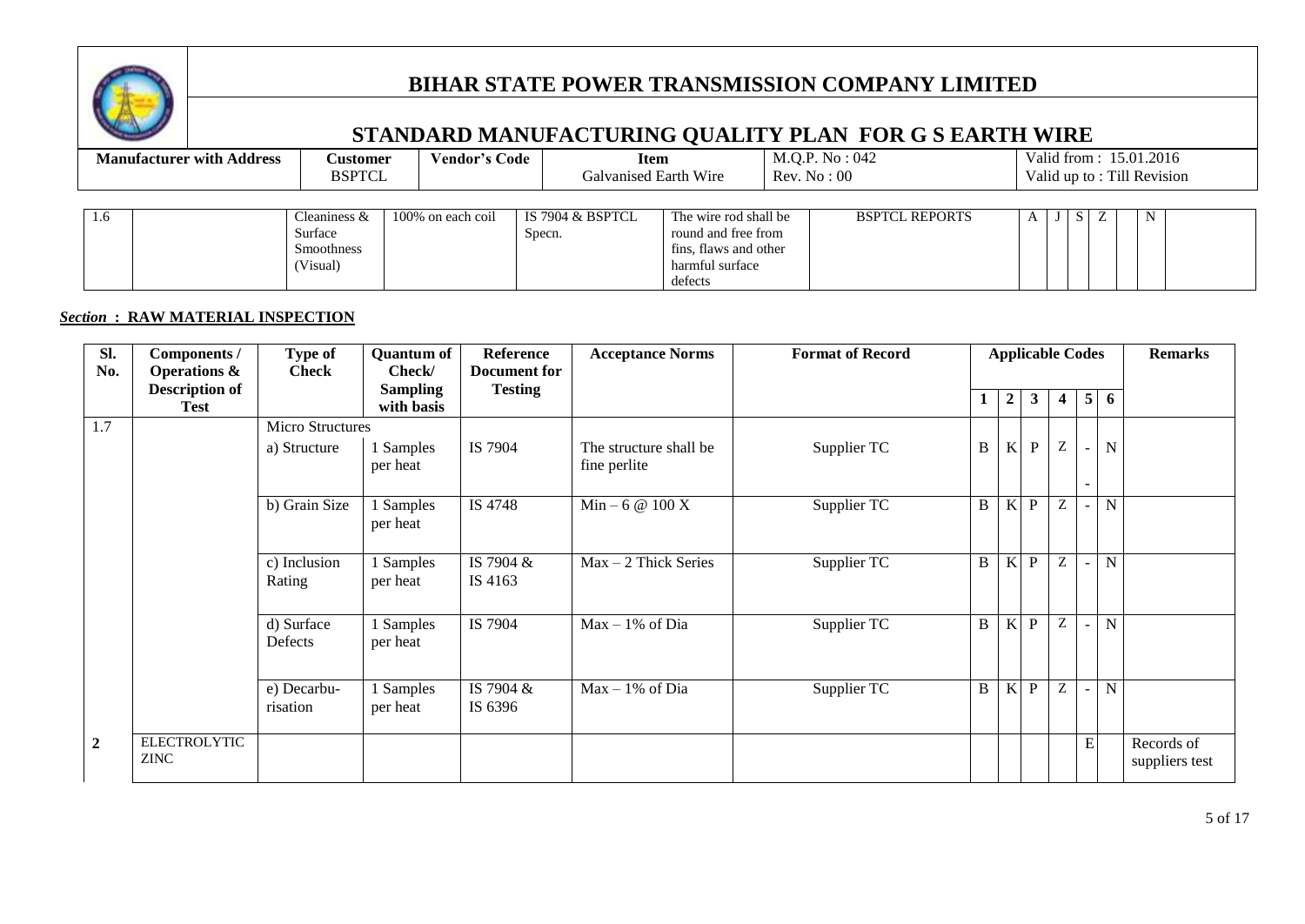

## **STANDARD MANUFACTURING QUALITY PLAN FOR G S EARTH WIRE**

|     | <b>Manufacturer with Address</b> |                                                            | Vendor's Code<br>Customer<br><b>BSPTCL</b> |        | Item<br>Galvanised Earth Wire |                                                                                                     | M.Q.P. No : 042<br>Rev. No: 00 |                       |  |    |   | Valid from: 15.01.2016<br>Valid up to: Till Revision |  |
|-----|----------------------------------|------------------------------------------------------------|--------------------------------------------|--------|-------------------------------|-----------------------------------------------------------------------------------------------------|--------------------------------|-----------------------|--|----|---|------------------------------------------------------|--|
| 1.6 |                                  | Cleaniness $&$<br>Surface<br><b>Smoothness</b><br>(Visual) | 100% on each coil                          | Specn. | IS 7904 & BSPTCL              | The wire rod shall be<br>round and free from<br>fins, flaws and other<br>harmful surface<br>defects |                                | <b>BSPTCL REPORTS</b> |  | S. | Z | $\mathbf N$                                          |  |

#### *Section* **: RAW MATERIAL INSPECTION**

| SI.            | Components /                       | Type of                 | <b>Quantum of</b>             | <b>Reference</b>     | <b>Acceptance Norms</b>                | <b>Format of Record</b> |              | <b>Applicable Codes</b> |              |          |                |                | <b>Remarks</b>               |
|----------------|------------------------------------|-------------------------|-------------------------------|----------------------|----------------------------------------|-------------------------|--------------|-------------------------|--------------|----------|----------------|----------------|------------------------------|
| No.            | <b>Operations &amp;</b>            | <b>Check</b>            | Check/                        | Document for         |                                        |                         |              |                         |              |          |                |                |                              |
|                | <b>Description of</b><br>Test      |                         | <b>Sampling</b><br>with basis | <b>Testing</b>       |                                        |                         | 1            | $\overline{2}$          | $3^{\circ}$  | 4        | 5 <sup>1</sup> | -6             |                              |
| 1.7            |                                    | <b>Micro Structures</b> |                               |                      |                                        |                         |              |                         |              |          |                |                |                              |
|                |                                    | a) Structure            | 1 Samples<br>per heat         | IS 7904              | The structure shall be<br>fine perlite | Supplier TC             | $\, {\bf B}$ | K                       | P            | $\rm{Z}$ | $\blacksquare$ | $\mathbf N$    |                              |
|                |                                    | b) Grain Size           | 1 Samples<br>per heat         | IS 4748              | $Min - 6 @ 100 X$                      | Supplier TC             | B            | K                       | $\mathbf{P}$ | Z        |                | N              |                              |
|                |                                    | c) Inclusion<br>Rating  | 1 Samples<br>per heat         | IS 7904 &<br>IS 4163 | $Max - 2$ Thick Series                 | Supplier TC             | $\mathbf B$  | K                       | $\mathbf{P}$ | Ζ        |                | N              |                              |
|                |                                    | d) Surface<br>Defects   | 1 Samples<br>per heat         | IS 7904              | $Max - 1\%$ of Dia                     | Supplier TC             | B            | K                       | P            | Ζ        | $\sim$         | $\overline{N}$ |                              |
|                |                                    | e) Decarbu-<br>risation | 1 Samples<br>per heat         | IS 7904 &<br>IS 6396 | $Max - 1\%$ of Dia                     | Supplier TC             | $\, {\bf B}$ | K                       | P            | Z        |                | N              |                              |
| $\overline{2}$ | <b>ELECTROLYTIC</b><br><b>ZINC</b> |                         |                               |                      |                                        |                         |              |                         |              |          | ${\bf E}$      |                | Records of<br>suppliers test |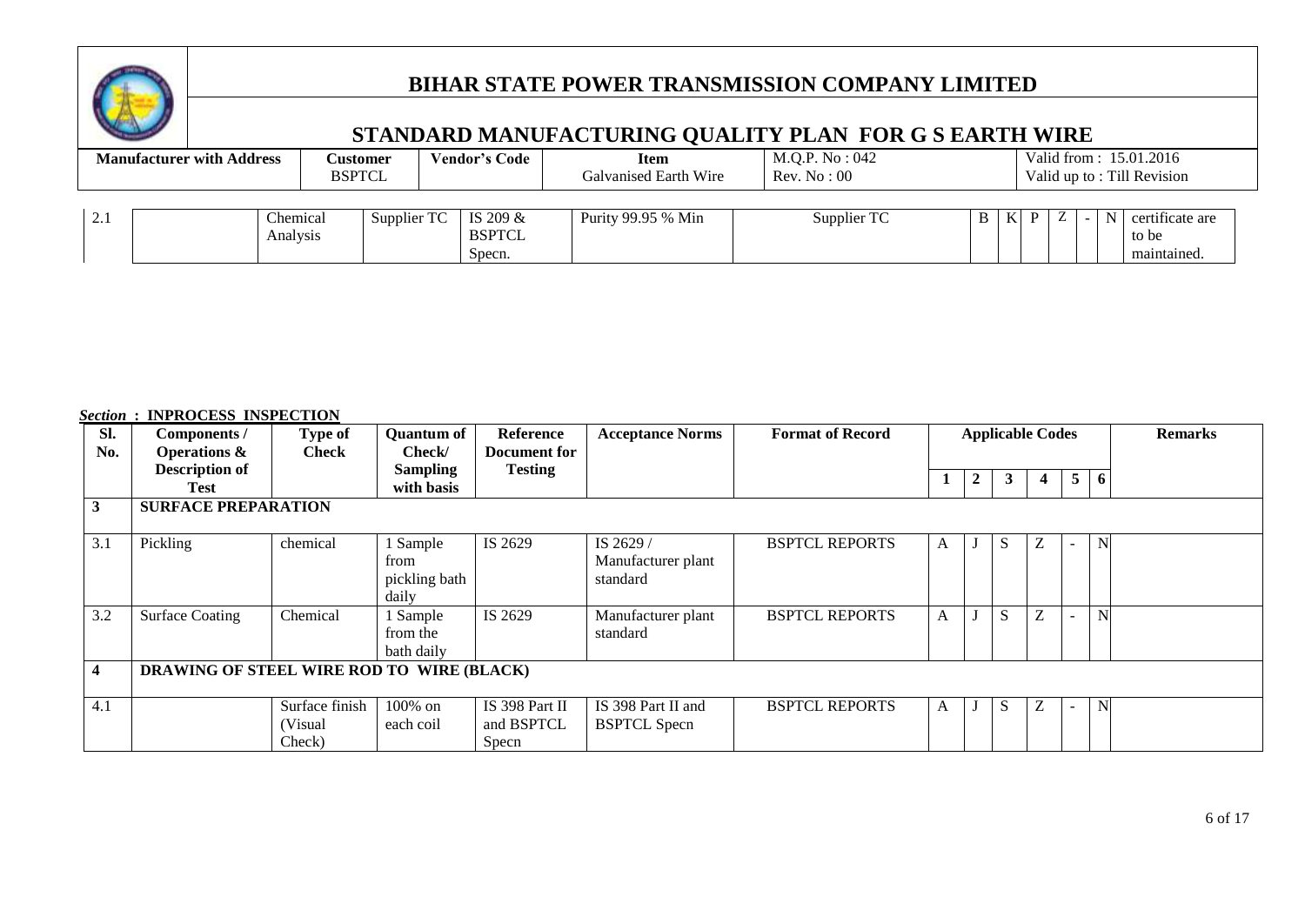

## **STANDARD MANUFACTURING QUALITY PLAN FOR G S EARTH WIRE**

| <b>Manufacturer with Address</b> |                      | Customer<br><b>BSPTCL</b> | Vendor's Code                         | <b>Item</b><br>Galvanised Earth Wire | M.Q.P. No : 042<br>Rev. No: 00 |  |         |   |  |             | Valid from: 15.01.2016<br>Valid up to: Till Revision |  |
|----------------------------------|----------------------|---------------------------|---------------------------------------|--------------------------------------|--------------------------------|--|---------|---|--|-------------|------------------------------------------------------|--|
| 2.1                              | Chemical<br>Analysis | Supplier TC               | IS 209 $&$<br><b>BSPTCL</b><br>Specn. | Purity 99.95 % Min                   | Supplier TC                    |  | $B$   K | D |  | $N_{\perp}$ | certificate are<br>to be<br>maintained               |  |

#### *Section* **: INPROCESS INSPECTION**

| Sl. | Components /                              | Type of        | <b>Quantum of</b> | Reference      | <b>Acceptance Norms</b> | <b>Format of Record</b> | <b>Applicable Codes</b> |              |    |                |                |    | <b>Remarks</b> |
|-----|-------------------------------------------|----------------|-------------------|----------------|-------------------------|-------------------------|-------------------------|--------------|----|----------------|----------------|----|----------------|
| No. | <b>Operations &amp;</b>                   | Check          | Check/            | Document for   |                         |                         |                         |              |    |                |                |    |                |
|     | <b>Description of</b>                     |                | <b>Sampling</b>   | <b>Testing</b> |                         |                         |                         | $\mathbf{2}$ | 3  |                | 5 <sup>1</sup> | -6 |                |
|     | Test                                      |                | with basis        |                |                         |                         |                         |              |    |                |                |    |                |
| 3   | <b>SURFACE PREPARATION</b>                |                |                   |                |                         |                         |                         |              |    |                |                |    |                |
|     |                                           |                |                   |                |                         |                         |                         |              |    |                |                |    |                |
| 3.1 | Pickling                                  | chemical       | Sample            | IS 2629        | IS 2629 /               | <b>BSPTCL REPORTS</b>   | A                       |              | S  |                |                | N  |                |
|     |                                           |                | from              |                | Manufacturer plant      |                         |                         |              |    |                |                |    |                |
|     |                                           |                | pickling bath     |                | standard                |                         |                         |              |    |                |                |    |                |
|     |                                           |                | daily             |                |                         |                         |                         |              |    |                |                |    |                |
| 3.2 | <b>Surface Coating</b>                    | Chemical       | 1 Sample          | IS 2629        | Manufacturer plant      | <b>BSPTCL REPORTS</b>   | A                       |              | S  | $\overline{ }$ |                | N  |                |
|     |                                           |                | from the          |                | standard                |                         |                         |              |    |                |                |    |                |
|     |                                           |                | bath daily        |                |                         |                         |                         |              |    |                |                |    |                |
| 4   | DRAWING OF STEEL WIRE ROD TO WIRE (BLACK) |                |                   |                |                         |                         |                         |              |    |                |                |    |                |
|     |                                           |                |                   |                |                         |                         |                         |              |    |                |                |    |                |
| 4.1 |                                           | Surface finish | 100% on           | IS 398 Part II | IS 398 Part II and      | <b>BSPTCL REPORTS</b>   | A                       |              | S. |                |                | N  |                |
|     |                                           | (Visual        | each coil         | and BSPTCL     | <b>BSPTCL Specn</b>     |                         |                         |              |    |                |                |    |                |
|     |                                           | Check)         |                   | Specn          |                         |                         |                         |              |    |                |                |    |                |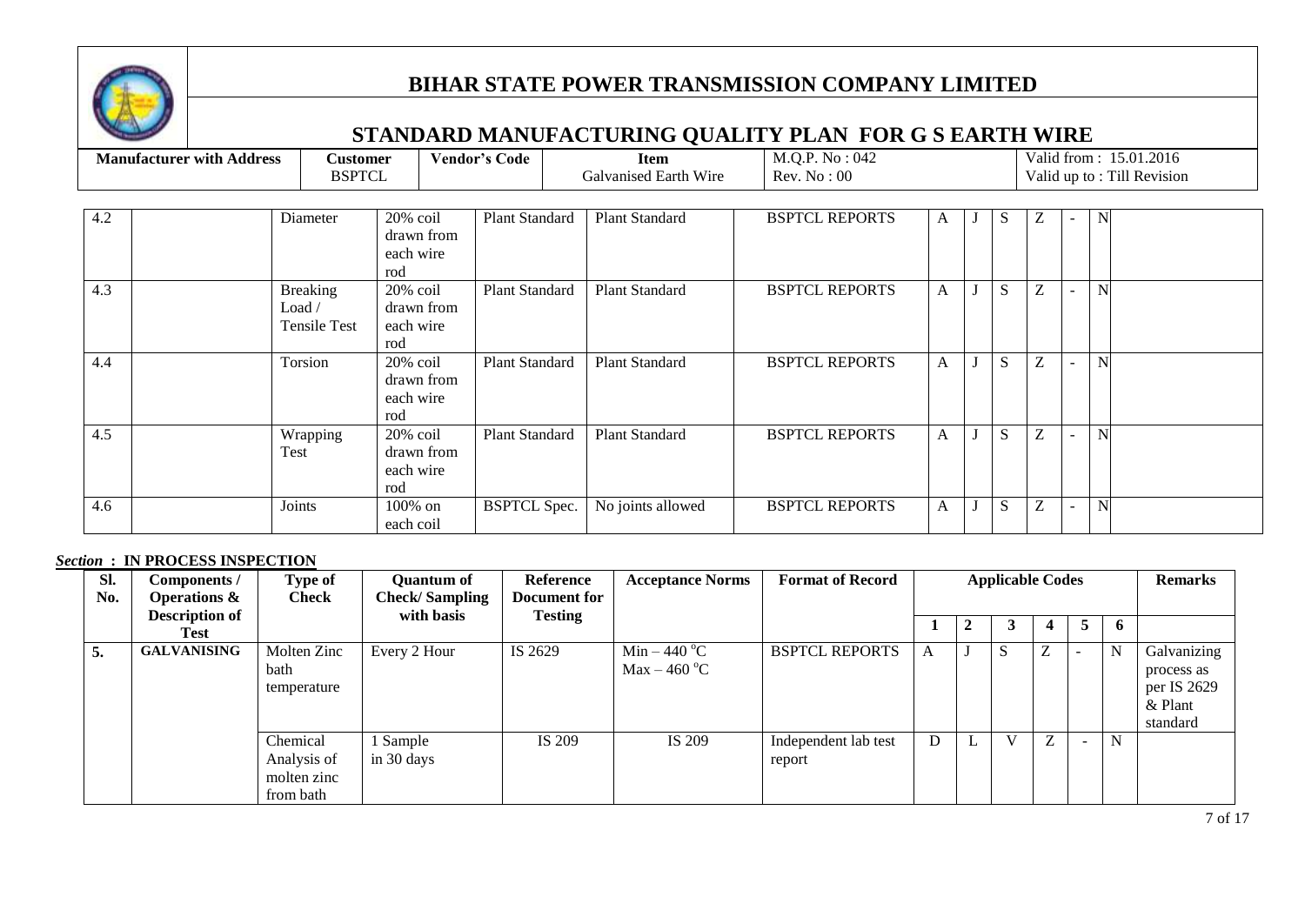

# **STANDARD MANUFACTURING QUALITY PLAN FOR G S EARTH WIRE**

| <b>Manufacturer with Address</b> | <b>Customer</b><br><b>BSPTCL</b>                 |                                               | M.Q.P. No : 042<br>Vendor's Code<br><b>Item</b><br>Galvanised Earth Wire<br>Rev. No: 00 |                       |                       |              |   |   | Valid from: 15.01.2016<br>Valid up to: Till Revision |
|----------------------------------|--------------------------------------------------|-----------------------------------------------|-----------------------------------------------------------------------------------------|-----------------------|-----------------------|--------------|---|---|------------------------------------------------------|
| 4.2                              | Diameter                                         | 20% coil<br>drawn from<br>each wire<br>rod    | Plant Standard                                                                          | <b>Plant Standard</b> | <b>BSPTCL REPORTS</b> | A            | S | Ζ | N                                                    |
| 4.3                              | <b>Breaking</b><br>Load /<br><b>Tensile Test</b> | 20% coil<br>drawn from<br>each wire<br>rod    | Plant Standard                                                                          | <b>Plant Standard</b> | <b>BSPTCL REPORTS</b> | A            | S | Z |                                                      |
| 4.4                              | Torsion                                          | $20\%$ coil<br>drawn from<br>each wire<br>rod | Plant Standard                                                                          | Plant Standard        | <b>BSPTCL REPORTS</b> | A            | S | Z |                                                      |
| 4.5                              | Wrapping<br>Test                                 | $20\%$ coil<br>drawn from<br>each wire<br>rod | Plant Standard                                                                          | <b>Plant Standard</b> | <b>BSPTCL REPORTS</b> | $\mathbf{A}$ | S | Z |                                                      |
| 4.6                              | Joints                                           | $100\%$ on<br>each coil                       | <b>BSPTCL Spec.</b>                                                                     | No joints allowed     | <b>BSPTCL REPORTS</b> | $\mathbf{A}$ | S | Z | $\mathbf N$                                          |

#### *Section* **: IN PROCESS INSPECTION**

| SI.<br>No. | Components /<br><b>Operations &amp;</b> | Type of<br><b>Check</b>                             | <b>Quantum of</b><br><b>Check/Sampling</b> | <b>Reference</b><br><b>Document for</b> | <b>Acceptance Norms</b>                          | <b>Format of Record</b>        |   | <b>Applicable Codes</b> |   |   | <b>Remarks</b>                                                  |
|------------|-----------------------------------------|-----------------------------------------------------|--------------------------------------------|-----------------------------------------|--------------------------------------------------|--------------------------------|---|-------------------------|---|---|-----------------------------------------------------------------|
|            | <b>Description of</b><br>Test           |                                                     | with basis                                 | <b>Testing</b>                          |                                                  |                                |   |                         |   | 6 |                                                                 |
| 5.         | <b>GALVANISING</b>                      | Molten Zinc<br>bath<br>temperature                  | Every 2 Hour                               | IS 2629                                 | Min – 440 $^{\circ}$ C<br>Max – 460 $^{\circ}$ C | <b>BSPTCL REPORTS</b>          | А |                         | Z | N | Galvanizing<br>process as<br>per IS 2629<br>& Plant<br>standard |
|            |                                         | Chemical<br>Analysis of<br>molten zinc<br>from bath | 1 Sample<br>in 30 days                     | IS 209                                  | IS 209                                           | Independent lab test<br>report | D | $\mathbf{V}$            | Z | N |                                                                 |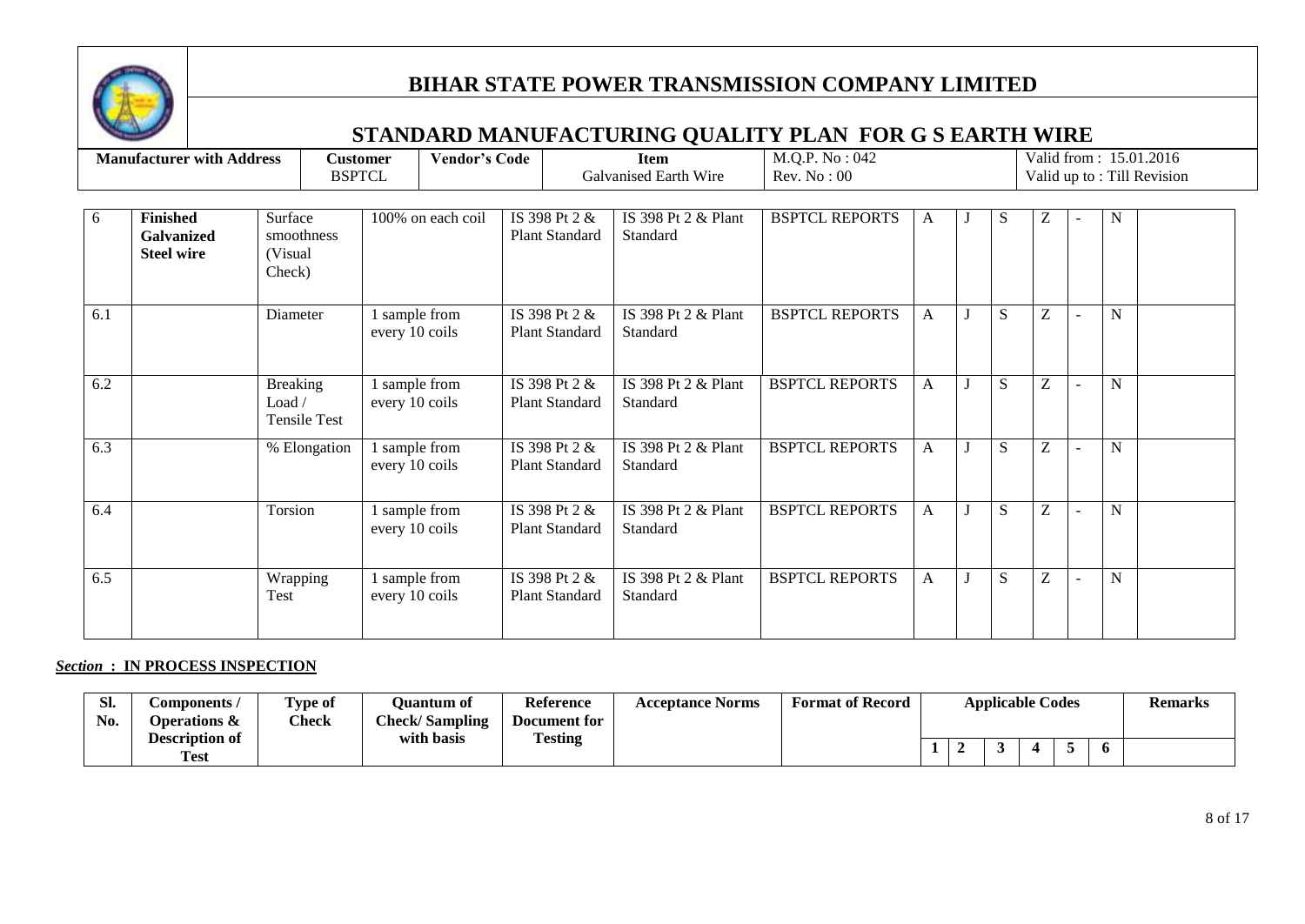

## **STANDARD MANUFACTURING QUALITY PLAN FOR G S EARTH WIRE**

|     | <b>Manufacturer with Address</b>                   | <b>Customer</b><br><b>BSPTCL</b>                                 |                                 | <b>Vendor's Code</b> |                                 |                                        | <b>Item</b><br>Galvanised Earth Wire | M.Q.P. No : 042<br>Rev. No: 00 |   |   |           |   |                |   | Valid from: 15.01.2016<br>Valid up to: Till Revision |
|-----|----------------------------------------------------|------------------------------------------------------------------|---------------------------------|----------------------|---------------------------------|----------------------------------------|--------------------------------------|--------------------------------|---|---|-----------|---|----------------|---|------------------------------------------------------|
| 6   | <b>Finished</b><br>Galvanized<br><b>Steel wire</b> | Surface<br>100% on each coil<br>smoothness<br>(Visual)<br>Check) |                                 |                      | IS 398 Pt 2 &<br>Plant Standard |                                        | IS 398 Pt 2 & Plant<br>Standard      | <b>BSPTCL REPORTS</b>          | A | J | S         | Ζ |                | N |                                                      |
| 6.1 |                                                    | Diameter                                                         | 1 sample from<br>every 10 coils |                      |                                 | IS 398 Pt 2 &<br>Plant Standard        | IS 398 Pt 2 & Plant<br>Standard      | <b>BSPTCL REPORTS</b>          | A |   | S         | Z |                | N |                                                      |
| 6.2 |                                                    | <b>Breaking</b><br>Load /<br>Tensile Test                        | 1 sample from<br>every 10 coils |                      |                                 | IS 398 Pt 2 &<br><b>Plant Standard</b> | IS 398 Pt 2 & Plant<br>Standard      | <b>BSPTCL REPORTS</b>          | A | J | S         | Ζ |                | N |                                                      |
| 6.3 |                                                    | % Elongation                                                     | 1 sample from<br>every 10 coils |                      |                                 | IS 398 Pt 2 &<br><b>Plant Standard</b> | IS 398 Pt 2 & Plant<br>Standard      | <b>BSPTCL REPORTS</b>          | A |   | S         | Z |                | N |                                                      |
| 6.4 |                                                    | Torsion                                                          | sample from<br>every 10 coils   |                      |                                 | IS 398 Pt 2 &<br>Plant Standard        | IS 398 Pt 2 & Plant<br>Standard      | <b>BSPTCL REPORTS</b>          | A |   | S         | Z |                | N |                                                      |
| 6.5 |                                                    | Wrapping<br>Test                                                 | sample from<br>every 10 coils   |                      |                                 | IS 398 Pt 2 &<br>Plant Standard        | IS 398 Pt 2 & Plant<br>Standard      | <b>BSPTCL REPORTS</b>          | A | J | ${\bf S}$ | Ζ | $\blacksquare$ | N |                                                      |

#### *Section* **: IN PROCESS INSPECTION**

| SI. | tomponents /                         | <b>Type of</b> | <b>Ouantum of</b>     | <b>Reference</b>  | <b>Acceptance Norms</b> | <b>Format of Record</b> |  | <b>Applicable Codes</b> |  |              | <b>Remarks</b> |
|-----|--------------------------------------|----------------|-----------------------|-------------------|-------------------------|-------------------------|--|-------------------------|--|--------------|----------------|
| No. | Operations &                         | <b>Check</b>   | <b>Check/Sampling</b> | Document for<br>m |                         |                         |  |                         |  |              |                |
|     | <b>Description of</b><br><b>Test</b> |                | with basis            | <b>Testing</b>    |                         |                         |  |                         |  | $\mathbf{p}$ |                |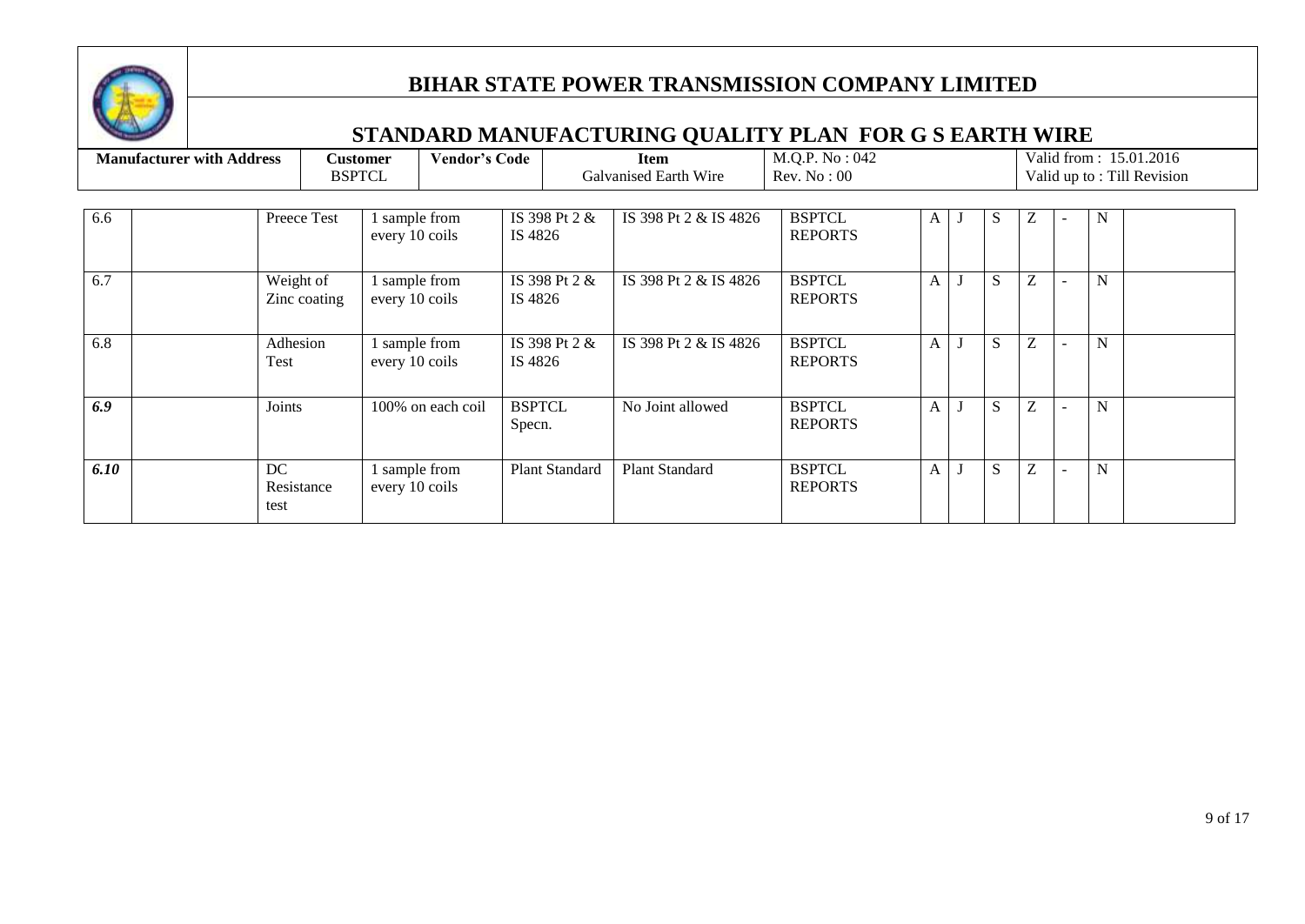

|      | <b>Manufacturer with Address</b> |                           | <b>Vendor's Code</b><br><b>Customer</b><br><b>BSPTCL</b> |                          | <b>Item</b><br>Galvanised Earth Wire | M.Q.P. No: 042<br>Rev. No: 00   |              |   |              |   |             | Valid from: 15.01.2016<br>Valid up to: Till Revision |
|------|----------------------------------|---------------------------|----------------------------------------------------------|--------------------------|--------------------------------------|---------------------------------|--------------|---|--------------|---|-------------|------------------------------------------------------|
| 6.6  |                                  | Preece Test               | 1 sample from<br>every 10 coils                          | IS 398 Pt 2 &<br>IS 4826 | IS 398 Pt 2 & IS 4826                | <b>BSPTCL</b><br><b>REPORTS</b> | A            |   | S            | Ζ | N           |                                                      |
| 6.7  |                                  | Weight of<br>Zinc coating | 1 sample from<br>every 10 coils                          | IS 398 Pt 2 &<br>IS 4826 | IS 398 Pt 2 & IS 4826                | <b>BSPTCL</b><br><b>REPORTS</b> | $\mathbf{A}$ |   | S            | Z | $\mathbf N$ |                                                      |
| 6.8  |                                  | Adhesion<br>Test          | 1 sample from<br>every 10 coils                          | IS 398 Pt 2 &<br>IS 4826 | IS 398 Pt 2 & IS 4826                | <b>BSPTCL</b><br><b>REPORTS</b> | $\mathbf{A}$ |   | S            | Z | N           |                                                      |
| 6.9  |                                  | Joints                    | 100% on each coil                                        | <b>BSPTCL</b><br>Specn.  | No Joint allowed                     | <b>BSPTCL</b><br><b>REPORTS</b> | $\mathbf{A}$ | J | <sub>S</sub> | Z | N           |                                                      |
| 6.10 |                                  | DC<br>Resistance<br>test  | 1 sample from<br>every 10 coils                          | <b>Plant Standard</b>    | <b>Plant Standard</b>                | <b>BSPTCL</b><br><b>REPORTS</b> | $\mathbf{A}$ |   | S            | Z | N           |                                                      |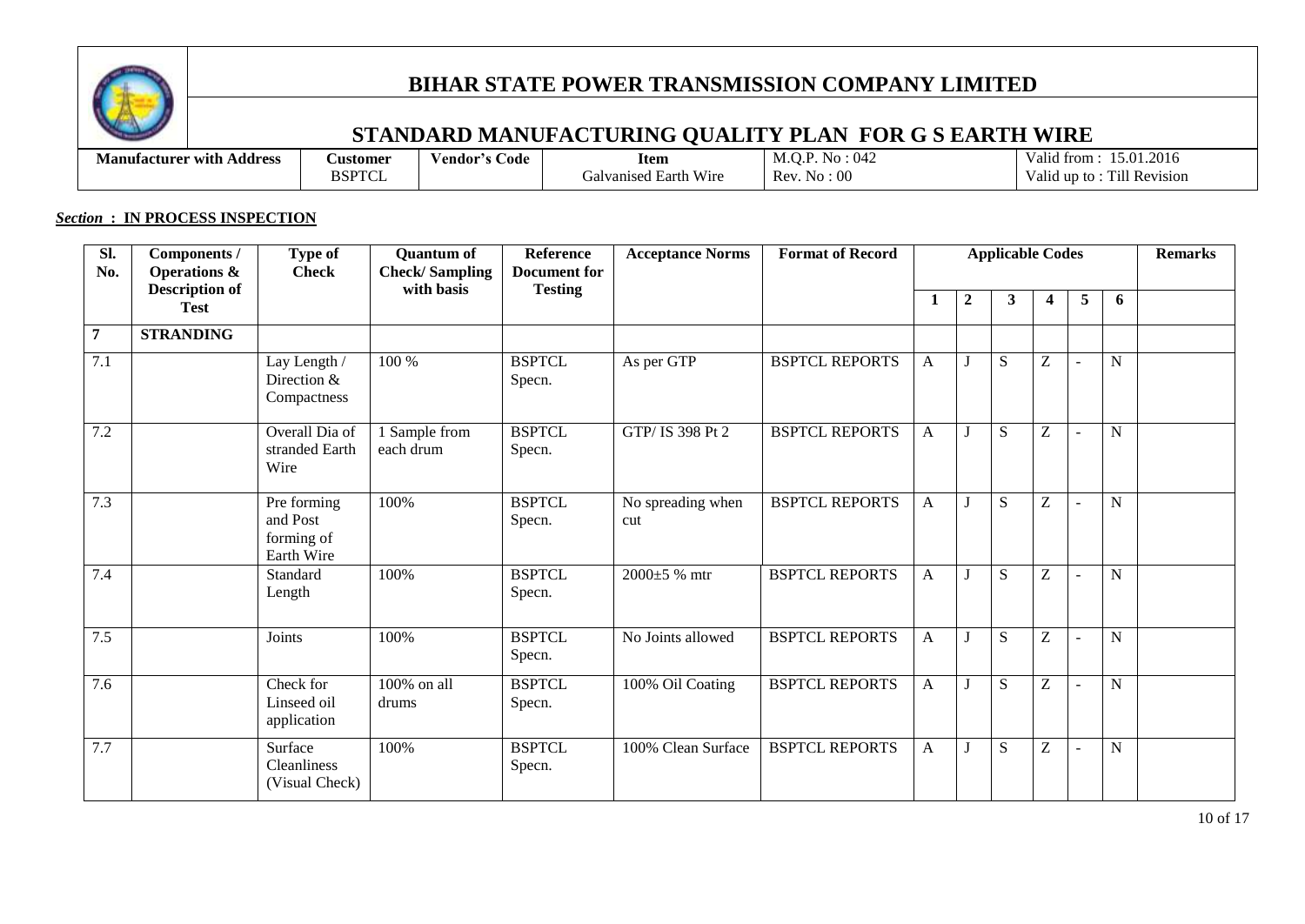

## **STANDARD MANUFACTURING QUALITY PLAN FOR G S EARTH WIRE**

| <b>Manufacturer</b> with<br>Address | <b>Customer</b>        | $\sim$<br>Code<br>endor′s | Item                                          | 042<br>$\cap$ $\cap$<br>NΩ<br>IVI.U.F | $\cdot$<br>1.2016<br>5.01<br>V alıo<br>trom |
|-------------------------------------|------------------------|---------------------------|-----------------------------------------------|---------------------------------------|---------------------------------------------|
|                                     | BSPTCI<br>$\mathbf{1}$ |                           | <b>TTT</b><br>' Earth Wire<br>əalva<br>nsed - | 0 <sup>0</sup><br><b>Rev</b><br>. .   | Till Revision<br>$\cdot$<br>V alıo<br>un to |

#### *Section* **: IN PROCESS INSPECTION**

| Sl.<br>No.       | Components /<br><b>Operations &amp;</b> | Type of<br><b>Check</b>                             | <b>Quantum of</b><br><b>Check/Sampling</b> | <b>Reference</b><br><b>Document</b> for | <b>Acceptance Norms</b>  | <b>Format of Record</b> |              |                  | <b>Applicable Codes</b> |                                                       |                |             | <b>Remarks</b> |
|------------------|-----------------------------------------|-----------------------------------------------------|--------------------------------------------|-----------------------------------------|--------------------------|-------------------------|--------------|------------------|-------------------------|-------------------------------------------------------|----------------|-------------|----------------|
|                  | <b>Description of</b><br><b>Test</b>    |                                                     | with basis                                 | <b>Testing</b>                          |                          |                         | 1            | $\boldsymbol{2}$ | $\mathbf{3}$            | 4                                                     | 5              | 6           |                |
| $\overline{7}$   | <b>STRANDING</b>                        |                                                     |                                            |                                         |                          |                         |              |                  |                         |                                                       |                |             |                |
| $\overline{7.1}$ |                                         | Lay Length /<br>Direction &<br>Compactness          | 100 %                                      | <b>BSPTCL</b><br>Specn.                 | As per GTP               | <b>BSPTCL REPORTS</b>   | A            |                  | S                       | Z                                                     |                | $\mathbf N$ |                |
| 7.2              |                                         | Overall Dia of<br>stranded Earth<br>Wire            | 1 Sample from<br>each drum                 | <b>BSPTCL</b><br>Specn.                 | GTP/ IS 398 Pt 2         | <b>BSPTCL REPORTS</b>   | $\mathbf{A}$ |                  | S                       | Z                                                     | $\overline{a}$ | $\mathbf N$ |                |
| 7.3              |                                         | Pre forming<br>and Post<br>forming of<br>Earth Wire | 100%                                       | <b>BSPTCL</b><br>Specn.                 | No spreading when<br>cut | <b>BSPTCL REPORTS</b>   | A            |                  | S                       | Z                                                     |                | $\mathbf N$ |                |
| 7.4              |                                         | Standard<br>Length                                  | 100%                                       | <b>BSPTCL</b><br>Specn.                 | $2000\pm5$ % mtr         | <b>BSPTCL REPORTS</b>   | $\mathbf{A}$ |                  | S                       | $\mathbf{Z}% ^{T}=\mathbf{Z}^{T}\times\mathbf{Z}^{T}$ | $\overline{a}$ | $\mathbf N$ |                |
| 7.5              |                                         | Joints                                              | 100%                                       | <b>BSPTCL</b><br>Specn.                 | No Joints allowed        | <b>BSPTCL REPORTS</b>   | $\mathbf{A}$ |                  | ${\bf S}$               | Z                                                     | $\overline{a}$ | $\mathbf N$ |                |
| 7.6              |                                         | Check for<br>Linseed oil<br>application             | 100% on all<br>drums                       | <b>BSPTCL</b><br>Specn.                 | 100% Oil Coating         | <b>BSPTCL REPORTS</b>   | $\mathbf{A}$ |                  | S                       | Z                                                     | $\overline{a}$ | $\mathbf N$ |                |
| 7.7              |                                         | Surface<br><b>Cleanliness</b><br>(Visual Check)     | 100%                                       | <b>BSPTCL</b><br>Specn.                 | 100% Clean Surface       | <b>BSPTCL REPORTS</b>   | A            |                  | S                       | Z                                                     |                | $\mathbf N$ |                |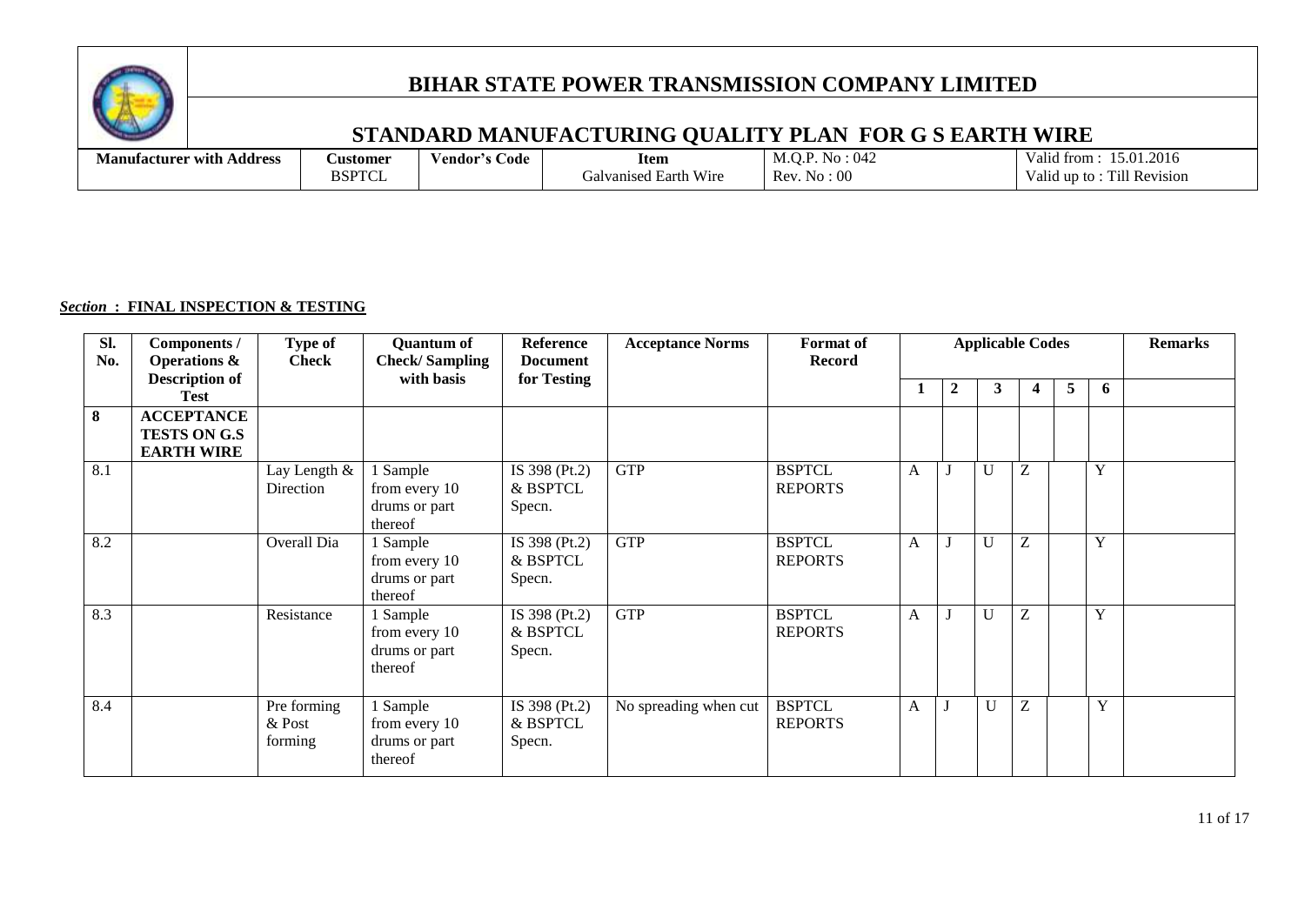

## **STANDARD MANUFACTURING QUALITY PLAN FOR G S EARTH WIRE**

| . .<br>Address<br>Manufacturer with | <b>Austomer</b> | s Code-<br>endor's' | Item                                   | 0.17<br>No.<br>M.O.F<br>$U+2$ | 15.01.2016<br>$\mathbf{v}$<br>trom<br>valia.           |
|-------------------------------------|-----------------|---------------------|----------------------------------------|-------------------------------|--------------------------------------------------------|
|                                     | RQ<br>- 1 V 1   |                     | Wire<br>' Earth<br>ualvar i<br>vanised | Rev.<br>$\mathrm{No}:00$      | $\mathbf{r}$<br><b>Till Revision</b><br>un to<br>'alıd |

#### *Section* **: FINAL INSPECTION & TESTING**

| SI.<br>No. | Components /<br><b>Operations &amp;</b>                       | Type of<br><b>Check</b>          | <b>Quantum of</b><br><b>Check/Sampling</b>            | Reference<br><b>Document</b>        | <b>Acceptance Norms</b> | <b>Format</b> of<br><b>Record</b> |              |                | <b>Applicable Codes</b> |   |   |   | <b>Remarks</b> |
|------------|---------------------------------------------------------------|----------------------------------|-------------------------------------------------------|-------------------------------------|-------------------------|-----------------------------------|--------------|----------------|-------------------------|---|---|---|----------------|
|            | <b>Description of</b><br><b>Test</b>                          |                                  | with basis                                            | for Testing                         |                         |                                   | 1            | $\overline{2}$ | 3                       | 4 | 5 | 6 |                |
| 8          | <b>ACCEPTANCE</b><br><b>TESTS ON G.S</b><br><b>EARTH WIRE</b> |                                  |                                                       |                                     |                         |                                   |              |                |                         |   |   |   |                |
| 8.1        |                                                               | Lay Length &<br>Direction        | 1 Sample<br>from every 10<br>drums or part<br>thereof | IS 398 (Pt.2)<br>& BSPTCL<br>Specn. | <b>GTP</b>              | <b>BSPTCL</b><br><b>REPORTS</b>   | A            |                | U                       | Z |   | Y |                |
| 8.2        |                                                               | Overall Dia                      | l Sample<br>from every 10<br>drums or part<br>thereof | IS 398 (Pt.2)<br>& BSPTCL<br>Specn. | <b>GTP</b>              | <b>BSPTCL</b><br><b>REPORTS</b>   | $\mathbf{A}$ | J              | U                       | Z |   | Y |                |
| 8.3        |                                                               | Resistance                       | I Sample<br>from every 10<br>drums or part<br>thereof | IS 398 (Pt.2)<br>& BSPTCL<br>Specn. | <b>GTP</b>              | <b>BSPTCL</b><br><b>REPORTS</b>   | A            | J              | U                       | Z |   | Y |                |
| 8.4        |                                                               | Pre forming<br>& Post<br>forming | 1 Sample<br>from every 10<br>drums or part<br>thereof | IS 398 (Pt.2)<br>& BSPTCL<br>Specn. | No spreading when cut   | <b>BSPTCL</b><br><b>REPORTS</b>   | $\mathbf{A}$ |                | $\mathbf{U}$            | Z |   | Y |                |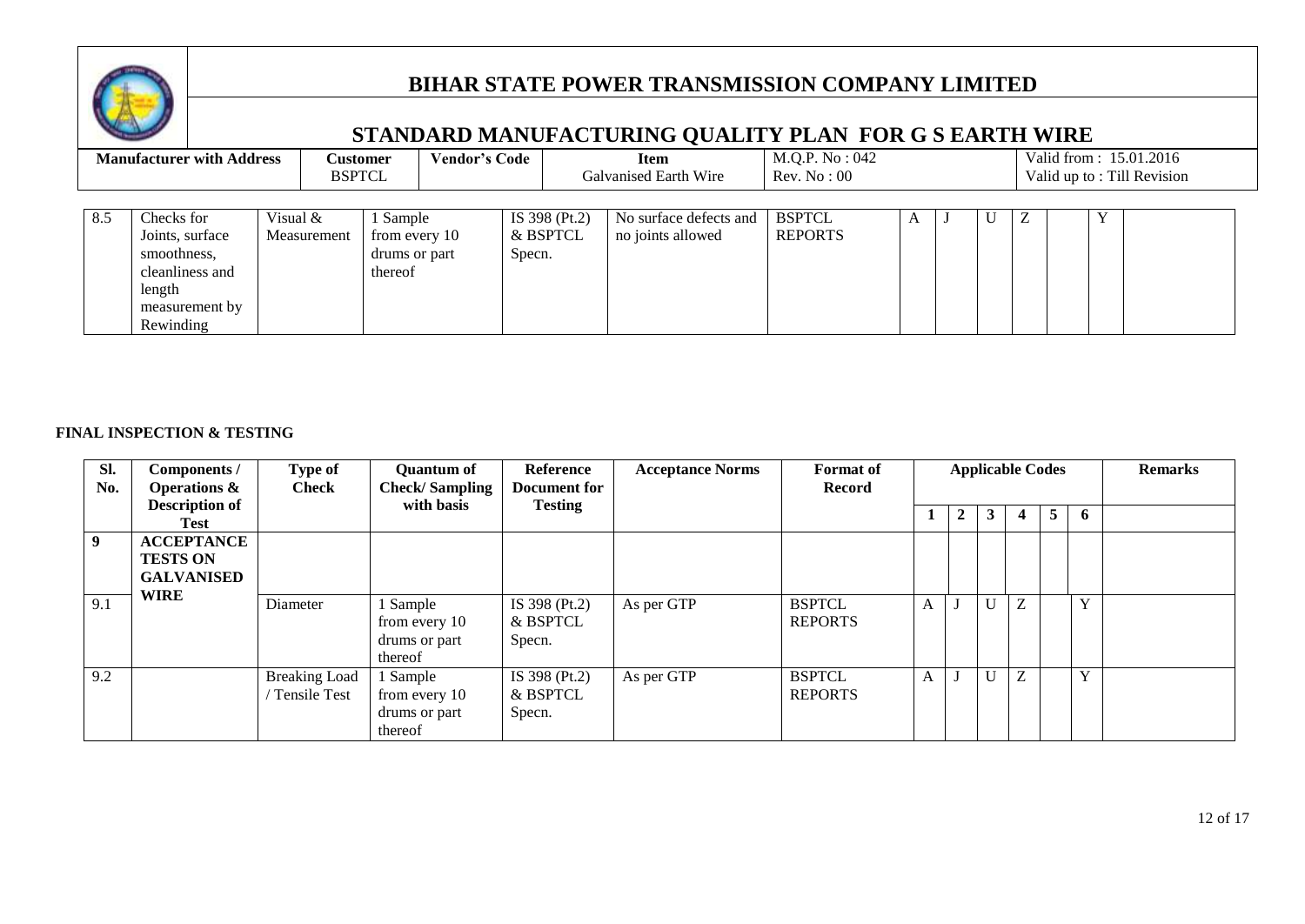

## **STANDARD MANUFACTURING QUALITY PLAN FOR G S EARTH WIRE**

|     | <b>Manufacturer with Address</b>                                                                         |          | <b>Customer</b><br><b>BSPTCL</b> |                                                     | <b>Vendor's Code</b> |                                     | <b>Item</b><br>Galvanised Earth Wire        | M.Q.P. No : 042<br>Rev. No: 00  |   |   |  | Valid from: 15.01.2016<br>Valid up to: Till Revision |  |
|-----|----------------------------------------------------------------------------------------------------------|----------|----------------------------------|-----------------------------------------------------|----------------------|-------------------------------------|---------------------------------------------|---------------------------------|---|---|--|------------------------------------------------------|--|
| 8.5 | Checks for<br>Joints, surface<br>smoothness,<br>cleanliness and<br>length<br>measurement by<br>Rewinding | Visual & | Measurement                      | Sample<br>from every 10<br>drums or part<br>thereof |                      | IS 398 (Pt.2)<br>& BSPTCL<br>Specn. | No surface defects and<br>no joints allowed | <b>BSPTCL</b><br><b>REPORTS</b> | A | U |  |                                                      |  |

#### **FINAL INSPECTION & TESTING**

| Sl.<br>No. | Components /<br><b>Operations &amp;</b>                   | Type of<br><b>Check</b>                     | <b>Quantum of</b><br><b>Check/Sampling</b>            | Reference<br><b>Document</b> for    | <b>Acceptance Norms</b> | <b>Format</b> of<br><b>Record</b> |   |             |   | <b>Applicable Codes</b> |                |   | <b>Remarks</b> |
|------------|-----------------------------------------------------------|---------------------------------------------|-------------------------------------------------------|-------------------------------------|-------------------------|-----------------------------------|---|-------------|---|-------------------------|----------------|---|----------------|
|            | <b>Description of</b><br>Test                             |                                             | with basis                                            | <b>Testing</b>                      |                         |                                   |   | $2^{\circ}$ | 3 |                         | 5 <sup>1</sup> | 6 |                |
| 9          | <b>ACCEPTANCE</b><br><b>TESTS ON</b><br><b>GALVANISED</b> |                                             |                                                       |                                     |                         |                                   |   |             |   |                         |                |   |                |
| 9.1        | <b>WIRE</b>                                               | Diameter                                    | 1 Sample<br>from every 10<br>drums or part<br>thereof | IS 398 (Pt.2)<br>& BSPTCL<br>Specn. | As per GTP              | <b>BSPTCL</b><br><b>REPORTS</b>   | A |             | U | Z                       |                | Y |                |
| 9.2        |                                                           | <b>Breaking Load</b><br><b>Tensile Test</b> | 1 Sample<br>from every 10<br>drums or part<br>thereof | IS 398 (Pt.2)<br>& BSPTCL<br>Specn. | As per GTP              | <b>BSPTCL</b><br><b>REPORTS</b>   | A |             | U | Z                       |                | Y |                |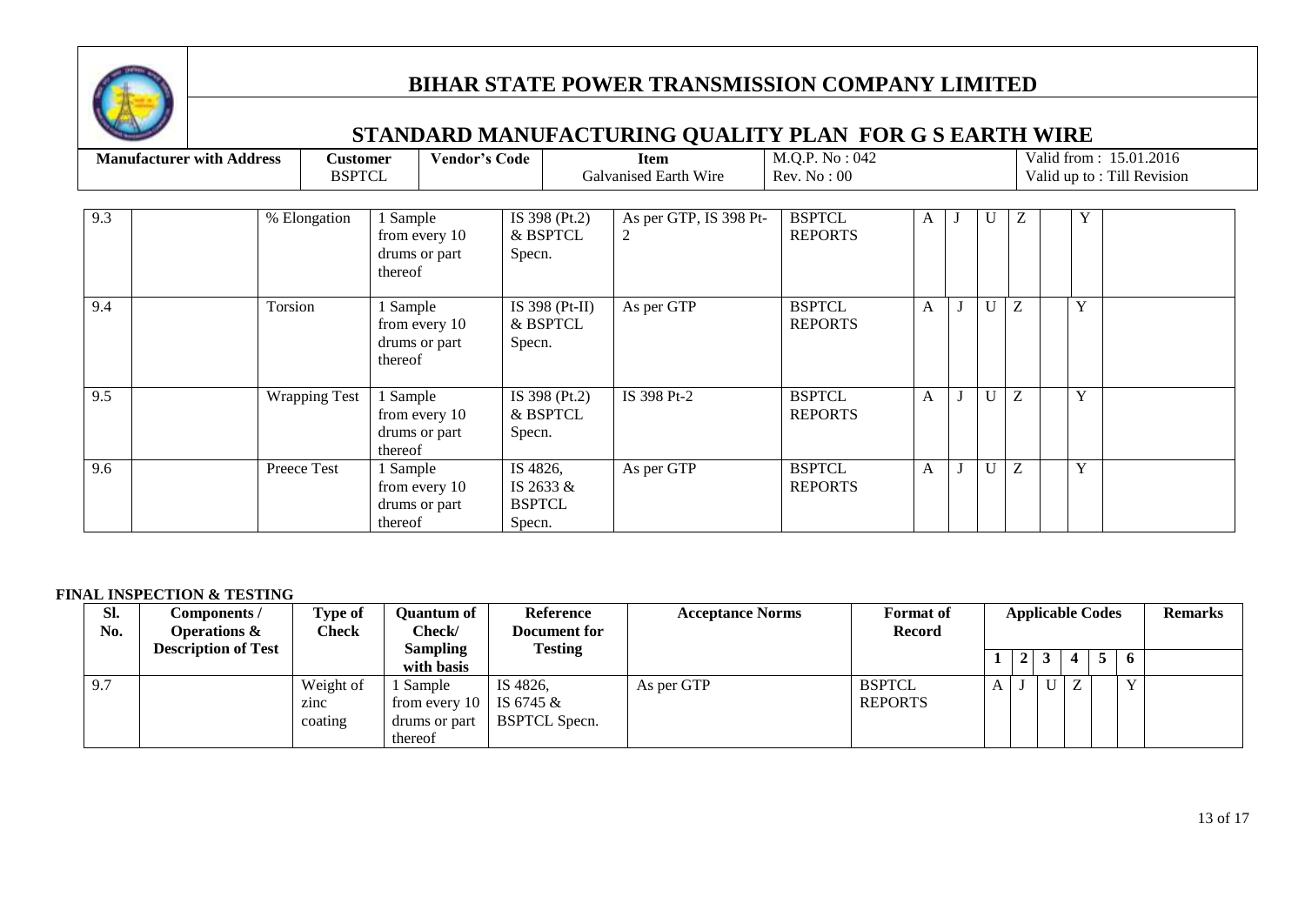

## **STANDARD MANUFACTURING QUALITY PLAN FOR G S EARTH WIRE**

|     | <b>Manufacturer with Address</b> | <b>Customer</b><br><b>BSPTCL</b> |                                                       | <b>Vendor's Code</b>                |                                | Item<br>Galvanised Earth Wire | M.Q.P. No : 042<br>Rev. No: 00  |              |   |   |   | Valid from: 15.01.2016<br>Valid up to: Till Revision |
|-----|----------------------------------|----------------------------------|-------------------------------------------------------|-------------------------------------|--------------------------------|-------------------------------|---------------------------------|--------------|---|---|---|------------------------------------------------------|
| 9.3 |                                  | % Elongation                     | 1 Sample<br>from every 10<br>drums or part<br>thereof | Specn.                              | IS 398 (Pt.2)<br>& BSPTCL      | As per GTP, IS 398 Pt-<br>2   | <b>BSPTCL</b><br><b>REPORTS</b> | A            | U | Ζ | Y |                                                      |
| 9.4 |                                  | Torsion                          | 1 Sample<br>from every 10<br>drums or part<br>thereof | Specn.                              | IS 398 ( $Pt-II$ )<br>& BSPTCL | As per GTP                    | <b>BSPTCL</b><br><b>REPORTS</b> | $\mathbf{A}$ |   | Z | Y |                                                      |
| 9.5 |                                  | <b>Wrapping Test</b>             | 1 Sample<br>from every 10<br>drums or part<br>thereof | Specn.                              | IS 398 (Pt.2)<br>& BSPTCL      | IS 398 Pt-2                   | <b>BSPTCL</b><br><b>REPORTS</b> | A            |   | Z | Y |                                                      |
| 9.6 |                                  | Preece Test                      | 1 Sample<br>from every 10<br>drums or part<br>thereof | IS 4826,<br><b>BSPTCL</b><br>Specn. | IS 2633 &                      | As per GTP                    | <b>BSPTCL</b><br><b>REPORTS</b> | $\mathbf{A}$ |   | Z | Y |                                                      |

#### **FINAL INSPECTION & TESTING**

| Sl.<br>No. | Components /<br><b>Operations &amp;</b> | <b>Type of</b><br>Check      | Ouantum of<br>Check/                                  | <b>Reference</b><br>Document for              | <b>Acceptance Norms</b> | <b>Format</b> of<br><b>Record</b> |                | <b>Applicable Codes</b> |  |              | <b>Remarks</b> |
|------------|-----------------------------------------|------------------------------|-------------------------------------------------------|-----------------------------------------------|-------------------------|-----------------------------------|----------------|-------------------------|--|--------------|----------------|
|            | <b>Description of Test</b>              |                              | <b>Sampling</b><br>with basis                         | <b>Testing</b>                                |                         |                                   | $\overline{2}$ |                         |  | 6            |                |
| 9.7        |                                         | Weight of<br>zinc<br>coating | Sample<br>from every $10$<br>drums or part<br>thereof | IS 4826,<br>IS 6745 &<br><b>BSPTCL Specn.</b> | As per GTP              | <b>BSPTCL</b><br><b>REPORTS</b>   |                | $\mathbf{U}$            |  | $\mathbf{v}$ |                |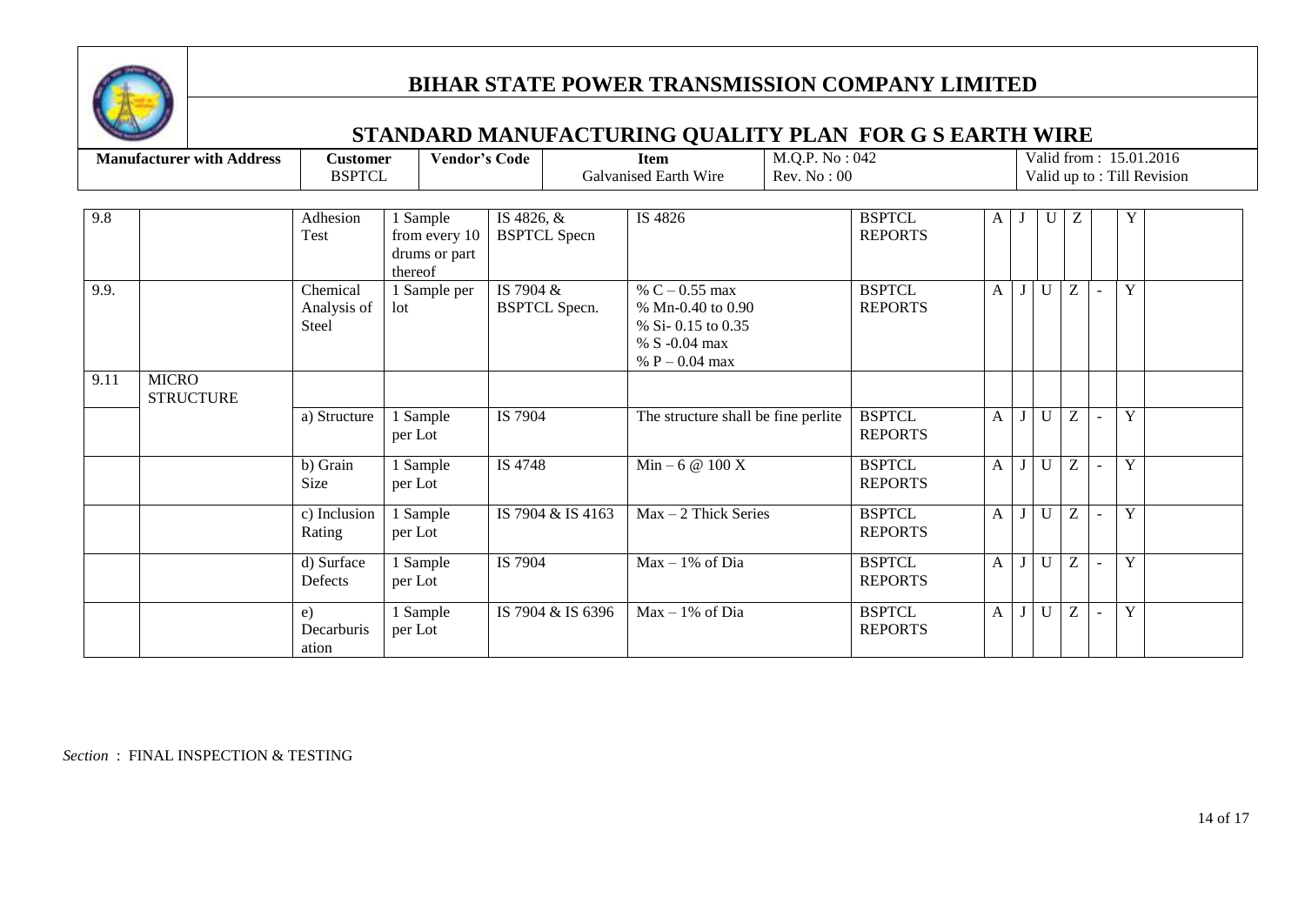

## **STANDARD MANUFACTURING QUALITY PLAN FOR G S EARTH WIRE**

|      | <b>Manufacturer with Address</b> | <b>Customer</b><br><b>BSPTCL</b> | <b>Vendor's Code</b>                                  |                                   | <b>Item</b><br><b>Galvanised Earth Wire</b>                                                        | M.Q.P. No : 042<br>Rev. No: 00 |                                 |                |              |   |   | Valid from: 15.01.2016<br>Valid up to: Till Revision |
|------|----------------------------------|----------------------------------|-------------------------------------------------------|-----------------------------------|----------------------------------------------------------------------------------------------------|--------------------------------|---------------------------------|----------------|--------------|---|---|------------------------------------------------------|
| 9.8  |                                  | Adhesion<br>Test                 | 1 Sample<br>from every 10<br>drums or part<br>thereof | IS 4826, &<br><b>BSPTCL Specn</b> | IS 4826                                                                                            |                                | <b>BSPTCL</b><br><b>REPORTS</b> | A              | U            | Ζ | Y |                                                      |
| 9.9. |                                  | Chemical<br>Analysis of<br>Steel | 1 Sample per<br>lot                                   | IS 7904 &<br><b>BSPTCL Specn.</b> | % $C - 0.55$ max<br>% Mn-0.40 to 0.90<br>% Si- 0.15 to 0.35<br>% S $-0.04$ max<br>% $P - 0.04$ max |                                | <b>BSPTCL</b><br><b>REPORTS</b> | A              | $\mathbf{U}$ | Z | Y |                                                      |
| 9.11 | <b>MICRO</b><br><b>STRUCTURE</b> |                                  |                                                       |                                   |                                                                                                    |                                |                                 |                |              |   |   |                                                      |
|      |                                  | a) Structure                     | 1 Sample<br>per Lot                                   | IS 7904                           | The structure shall be fine perlite                                                                |                                | <b>BSPTCL</b><br><b>REPORTS</b> | A              | $\mathbf{I}$ | Z | Y |                                                      |
|      |                                  | b) Grain<br>Size                 | 1 Sample<br>per Lot                                   | IS 4748                           | $Min - 6 @ 100 X$                                                                                  |                                | <b>BSPTCL</b><br><b>REPORTS</b> | A              | $\mathbf{U}$ | Z | Y |                                                      |
|      |                                  | c) Inclusion<br>Rating           | Sample<br>per Lot                                     | IS 7904 & IS 4163                 | $Max - 2$ Thick Series                                                                             |                                | <b>BSPTCL</b><br><b>REPORTS</b> | A <sub>1</sub> | $\mathbf{U}$ | Z | Y |                                                      |
|      |                                  | d) Surface<br>Defects            | 1 Sample<br>per Lot                                   | IS 7904                           | $Max - 1\%$ of Dia                                                                                 |                                | <b>BSPTCL</b><br><b>REPORTS</b> | $\mathbf{A}$   | $\mathbf{U}$ | Z | Y |                                                      |
|      |                                  | e)<br>Decarburis<br>ation        | 1 Sample<br>per Lot                                   | IS 7904 & IS 6396                 | $Max - 1\%$ of Dia                                                                                 |                                | <b>BSPTCL</b><br><b>REPORTS</b> | A <sub>1</sub> | U            | Z | Y |                                                      |

*Section* : FINAL INSPECTION & TESTING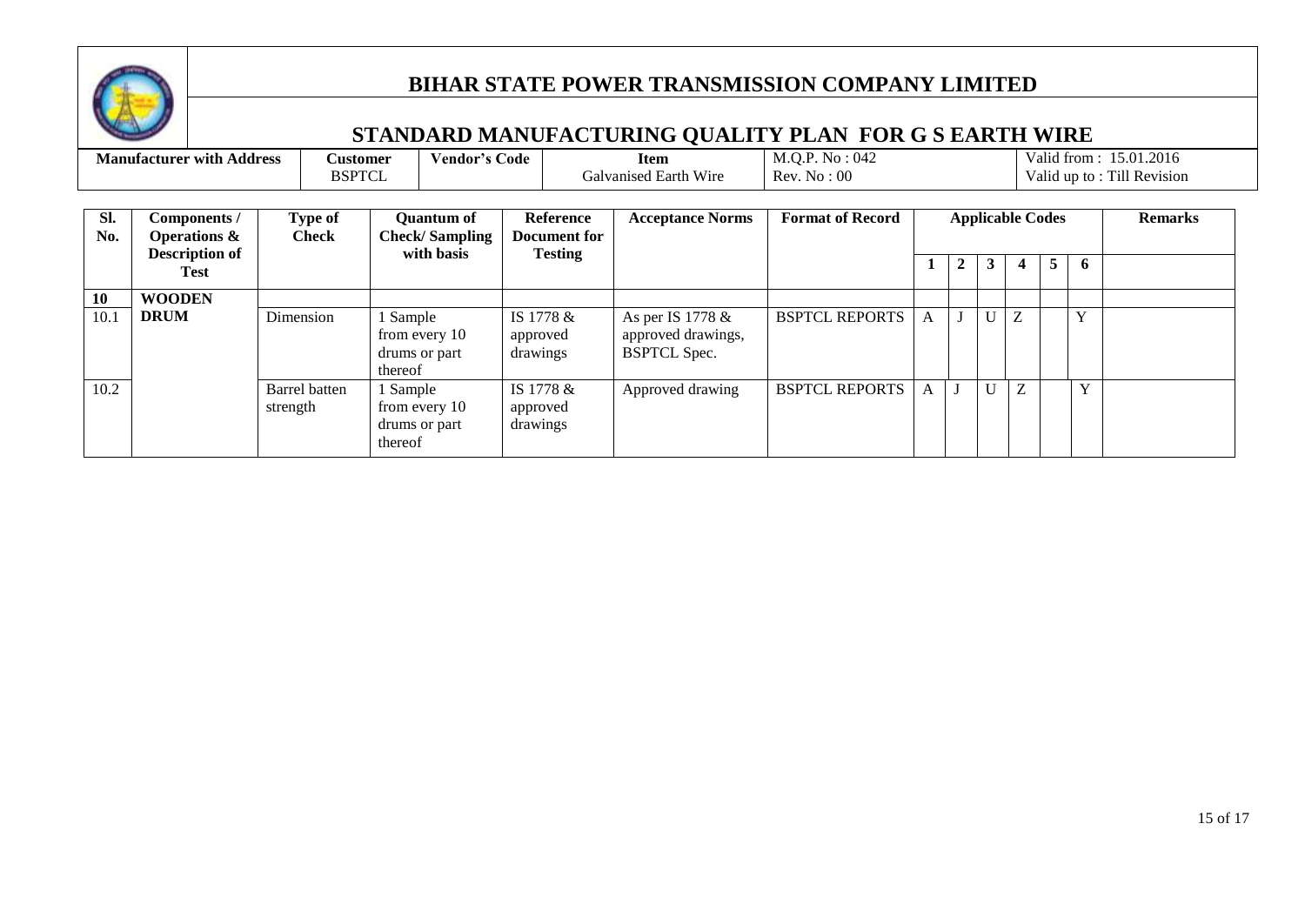

|            | <b>Manufacturer with Address</b>                                         |           | <b>Customer</b><br><b>BSPTCL</b>                                                   | <b>Vendor's Code</b>                                     |                      |                                                    | <b>Item</b><br>Galvanised Earth Wire                          | M.Q.P. No: 042<br>Rev. No: 00 |   |              |   |                         |                |              | Valid from: 15.01.2016<br>Valid up to: Till Revision |
|------------|--------------------------------------------------------------------------|-----------|------------------------------------------------------------------------------------|----------------------------------------------------------|----------------------|----------------------------------------------------|---------------------------------------------------------------|-------------------------------|---|--------------|---|-------------------------|----------------|--------------|------------------------------------------------------|
| SI.<br>No. | Components /<br><b>Operations &amp;</b><br><b>Description of</b><br>Test |           | Type of<br><b>Check</b>                                                            | <b>Quantum of</b><br><b>Check/Sampling</b><br>with basis |                      | <b>Reference</b><br>Document for<br><b>Testing</b> | <b>Acceptance Norms</b>                                       | <b>Format of Record</b>       |   | $\mathbf{2}$ | 3 | <b>Applicable Codes</b> | 5 <sup>1</sup> | 6            | <b>Remarks</b>                                       |
| 10         | <b>WOODEN</b>                                                            |           |                                                                                    |                                                          |                      |                                                    |                                                               |                               |   |              |   |                         |                |              |                                                      |
| 10.1       | <b>DRUM</b>                                                              | Dimension |                                                                                    | l Sample<br>from every 10<br>drums or part<br>thereof    | approved<br>drawings | IS 1778 &                                          | As per IS 1778 &<br>approved drawings,<br><b>BSPTCL Spec.</b> | <b>BSPTCL REPORTS</b>         | A |              |   | Z                       |                | $\mathbf{v}$ |                                                      |
| 10.2       |                                                                          |           | Barrel batten<br>1 Sample<br>from every 10<br>strength<br>drums or part<br>thereof |                                                          | approved<br>drawings | IS 1778 &                                          | Approved drawing                                              | <b>BSPTCL REPORTS</b>         | A |              |   | Z                       |                | Y            |                                                      |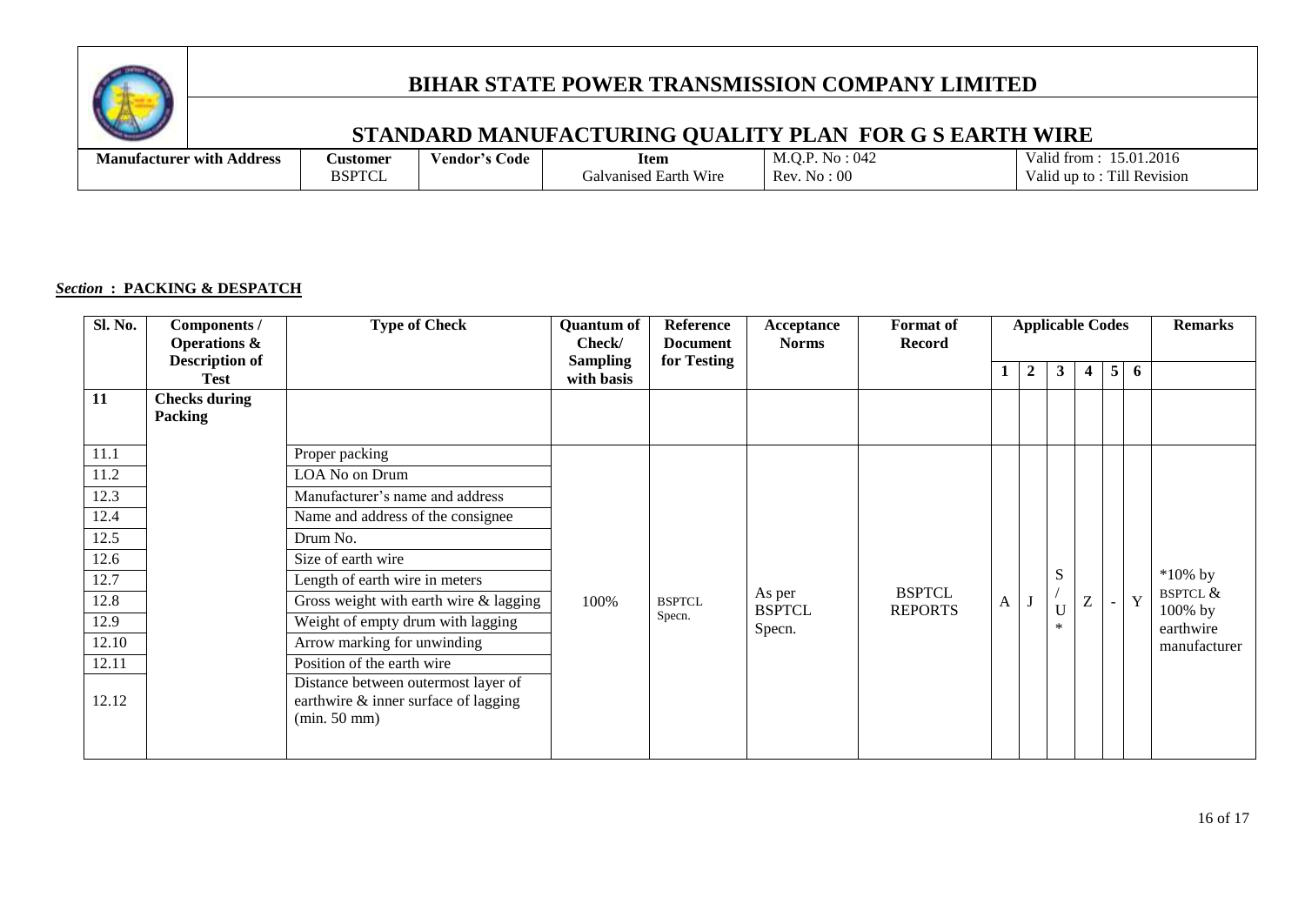

## **STANDARD MANUFACTURING QUALITY PLAN FOR G S EARTH WIRE**

| . .<br>Address<br>Manufacturer with | <b>Austomer</b>   | 'endor′s<br>Code | Item                                      | ÷ O4.<br>1.1.1           | $\mathbf{v}$<br>15.01.2016<br>. .<br>$\mathrm{a}_{11}$ d<br>trom              |
|-------------------------------------|-------------------|------------------|-------------------------------------------|--------------------------|-------------------------------------------------------------------------------|
|                                     | <b>DCDTO</b><br>◡ |                  | Wire<br><b>Earth</b><br>. ralv<br>vanised | Rev<br>-00<br>∼יר<br>INO | $\mathbf{v}$<br>. .<br>-----<br>ĽШ<br><b>Revision</b><br>∀alid<br>11D.<br>- സ |

#### *Section* **: PACKING & DESPATCH**

| Sl. No. | Components /<br><b>Operations &amp;</b> | <b>Type of Check</b>                                                                        | <b>Quantum of</b><br>Check/   | Reference<br><b>Document</b> | Acceptance<br><b>Norms</b> | Format of<br><b>Record</b>      | <b>Applicable Codes</b> |                |              |                |                |   | <b>Remarks</b>                    |
|---------|-----------------------------------------|---------------------------------------------------------------------------------------------|-------------------------------|------------------------------|----------------------------|---------------------------------|-------------------------|----------------|--------------|----------------|----------------|---|-----------------------------------|
|         | <b>Description of</b><br><b>Test</b>    |                                                                                             | <b>Sampling</b><br>with basis | for Testing                  |                            |                                 |                         | $\overline{2}$ | $\mathbf{3}$ | $\overline{4}$ | 5 <sup>1</sup> | 6 |                                   |
| 11      | <b>Checks during</b>                    |                                                                                             |                               |                              |                            |                                 |                         |                |              |                |                |   |                                   |
|         | Packing                                 |                                                                                             |                               |                              |                            |                                 |                         |                |              |                |                |   |                                   |
| 11.1    |                                         | Proper packing                                                                              |                               |                              |                            |                                 |                         |                |              |                |                |   |                                   |
| 11.2    |                                         | LOA No on Drum                                                                              |                               |                              |                            |                                 |                         |                |              |                |                |   |                                   |
| 12.3    |                                         | Manufacturer's name and address                                                             |                               |                              |                            |                                 |                         |                |              |                |                |   |                                   |
| 12.4    |                                         | Name and address of the consignee                                                           |                               |                              |                            |                                 |                         |                |              |                |                |   |                                   |
| 12.5    |                                         | Drum No.                                                                                    |                               |                              |                            |                                 |                         |                |              |                |                |   |                                   |
| 12.6    |                                         | Size of earth wire                                                                          |                               |                              |                            |                                 |                         |                |              |                |                |   |                                   |
| 12.7    |                                         | Length of earth wire in meters                                                              |                               |                              |                            |                                 |                         |                | S            |                |                |   | $*10\%$ by                        |
| 12.8    |                                         | Gross weight with earth wire $&$ lagging                                                    | 100%                          | <b>BSPTCL</b>                | As per<br><b>BSPTCL</b>    | <b>BSPTCL</b><br><b>REPORTS</b> | A                       |                | U            | Ζ              | $\sim$         | Y | <b>BSPTCL &amp;</b><br>$100\%$ by |
| 12.9    |                                         | Weight of empty drum with lagging                                                           |                               | Specn.                       | Specn.                     |                                 |                         |                | $\ast$       |                |                |   | earthwire                         |
| 12.10   |                                         | Arrow marking for unwinding                                                                 |                               |                              |                            |                                 |                         |                |              |                |                |   | manufacturer                      |
| 12.11   |                                         | Position of the earth wire                                                                  |                               |                              |                            |                                 |                         |                |              |                |                |   |                                   |
| 12.12   |                                         | Distance between outermost layer of<br>earthwire & inner surface of lagging<br>(min. 50 mm) |                               |                              |                            |                                 |                         |                |              |                |                |   |                                   |